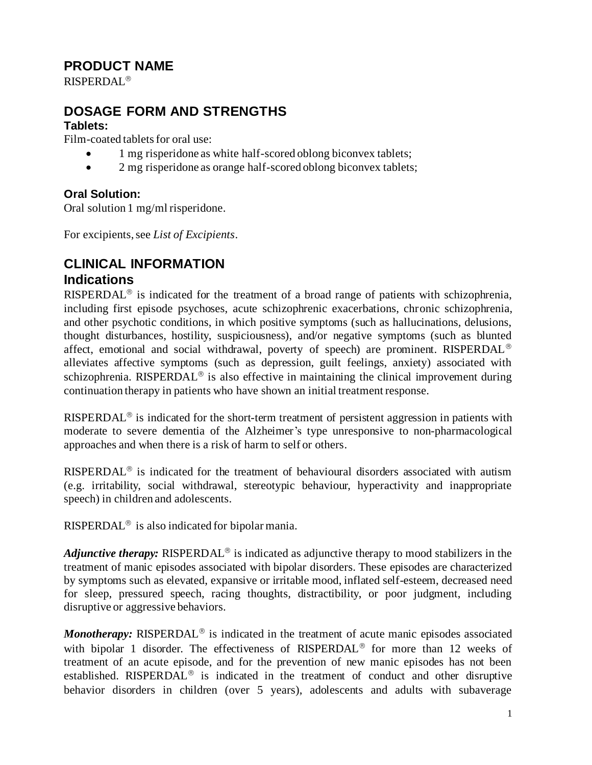# **PRODUCT NAME**

RISPERDAL

# **DOSAGE FORM AND STRENGTHS**

# **Tablets:**

Film-coated tablets for oral use:

- 1 mg risperidone as white half-scored oblong biconvex tablets;
- 2 mg risperidone as orange half-scored oblong biconvex tablets;

# **Oral Solution:**

Oral solution 1 mg/ml risperidone.

For excipients, see *List of Excipients*.

# **CLINICAL INFORMATION Indications**

RISPERDAL<sup>®</sup> is indicated for the treatment of a broad range of patients with schizophrenia, including first episode psychoses, acute schizophrenic exacerbations, chronic schizophrenia, and other psychotic conditions, in which positive symptoms (such as hallucinations, delusions, thought disturbances, hostility, suspiciousness), and/or negative symptoms (such as blunted affect, emotional and social withdrawal, poverty of speech) are prominent. RISPERDAL alleviates affective symptoms (such as depression, guilt feelings, anxiety) associated with schizophrenia. RISPERDAL<sup>®</sup> is also effective in maintaining the clinical improvement during continuation therapy in patients who have shown an initial treatment response.

RISPERDAL<sup>®</sup> is indicated for the short-term treatment of persistent aggression in patients with moderate to severe dementia of the Alzheimer's type unresponsive to non-pharmacological approaches and when there is a risk of harm to self or others.

RISPERDAL<sup>®</sup> is indicated for the treatment of behavioural disorders associated with autism (e.g. irritability, social withdrawal, stereotypic behaviour, hyperactivity and inappropriate speech) in children and adolescents.

RISPERDAL<sup>®</sup> is also indicated for bipolar mania.

*Adjunctive therapy:* RISPERDAL<sup>®</sup> is indicated as adjunctive therapy to mood stabilizers in the treatment of manic episodes associated with bipolar disorders. These episodes are characterized by symptoms such as elevated, expansive or irritable mood, inflated self-esteem, decreased need for sleep, pressured speech, racing thoughts, distractibility, or poor judgment, including disruptive or aggressive behaviors.

*Monotherapy:* RISPERDAL<sup>®</sup> is indicated in the treatment of acute manic episodes associated with bipolar 1 disorder. The effectiveness of  $RISPERDAL<sup>®</sup>$  for more than 12 weeks of treatment of an acute episode, and for the prevention of new manic episodes has not been established. RISPERDAL<sup>®</sup> is indicated in the treatment of conduct and other disruptive behavior disorders in children (over 5 years), adolescents and adults with subaverage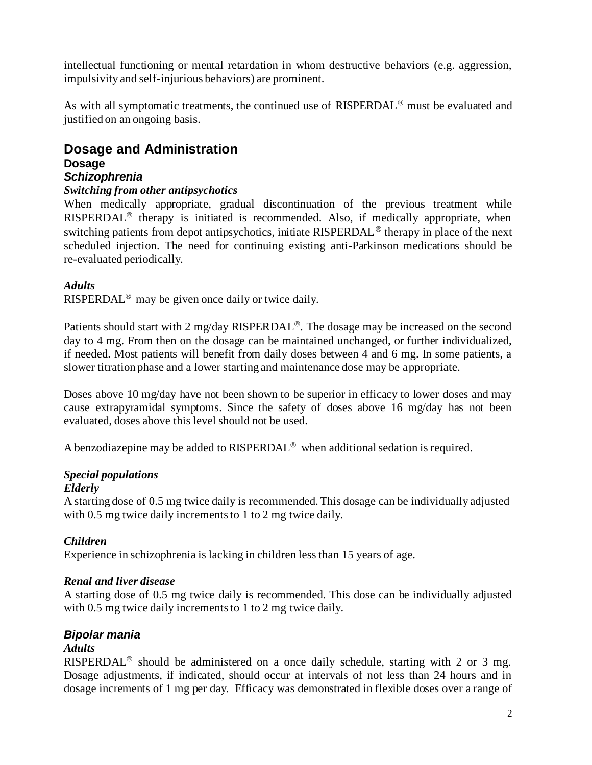intellectual functioning or mental retardation in whom destructive behaviors (e.g. aggression, impulsivity and self-injurious behaviors) are prominent.

As with all symptomatic treatments, the continued use of  $RISPERDAL<sup>®</sup>$  must be evaluated and justified on an ongoing basis.

# **Dosage and Administration Dosage**

# *Schizophrenia*

#### *Switching from other antipsychotics*

When medically appropriate, gradual discontinuation of the previous treatment while  $RISPERDAL<sup>®</sup>$  therapy is initiated is recommended. Also, if medically appropriate, when switching patients from depot antipsychotics, initiate RISPERDAL<sup>®</sup> therapy in place of the next scheduled injection. The need for continuing existing anti-Parkinson medications should be re-evaluated periodically.

### *Adults*

RISPERDAL<sup>®</sup> may be given once daily or twice daily.

Patients should start with 2 mg/day RISPERDAL<sup>®</sup>. The dosage may be increased on the second day to 4 mg. From then on the dosage can be maintained unchanged, or further individualized, if needed. Most patients will benefit from daily doses between 4 and 6 mg. In some patients, a slower titration phase and a lower starting and maintenance dose may be appropriate.

Doses above 10 mg/day have not been shown to be superior in efficacy to lower doses and may cause extrapyramidal symptoms. Since the safety of doses above 16 mg/day has not been evaluated, doses above this level should not be used.

A benzodiazepine may be added to  $RISPERDAL<sup>®</sup>$  when additional sedation is required.

### *Special populations*

#### *Elderly*

A starting dose of 0.5 mg twice daily is recommended. This dosage can be individually adjusted with 0.5 mg twice daily increments to 1 to 2 mg twice daily.

### *Children*

Experience in schizophrenia is lacking in children less than 15 years of age.

### *Renal and liver disease*

A starting dose of 0.5 mg twice daily is recommended. This dose can be individually adjusted with 0.5 mg twice daily increments to 1 to 2 mg twice daily.

### *Bipolar mania*

### *Adults*

RISPERDAL<sup>®</sup> should be administered on a once daily schedule, starting with 2 or 3 mg. Dosage adjustments, if indicated, should occur at intervals of not less than 24 hours and in dosage increments of 1 mg per day. Efficacy was demonstrated in flexible doses over a range of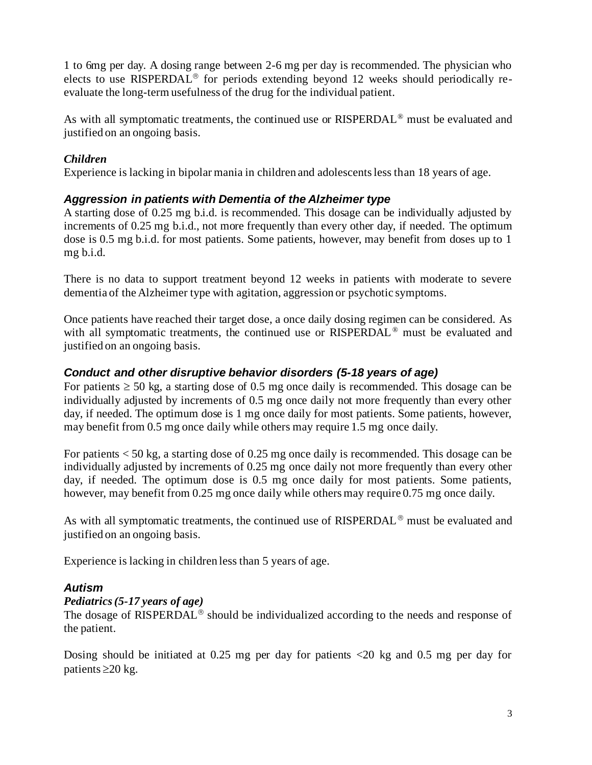1 to 6mg per day. A dosing range between 2-6 mg per day is recommended. The physician who elects to use RISPERDAL<sup>®</sup> for periods extending beyond 12 weeks should periodically reevaluate the long-term usefulness of the drug for the individual patient.

As with all symptomatic treatments, the continued use or RISPERDAL<sup>®</sup> must be evaluated and justified on an ongoing basis.

# *Children*

Experience is lacking in bipolar mania in children and adolescents less than 18 years of age.

# *Aggression in patients with Dementia of the Alzheimer type*

A starting dose of 0.25 mg b.i.d. is recommended. This dosage can be individually adjusted by increments of 0.25 mg b.i.d., not more frequently than every other day, if needed. The optimum dose is 0.5 mg b.i.d. for most patients. Some patients, however, may benefit from doses up to 1 mg b.i.d.

There is no data to support treatment beyond 12 weeks in patients with moderate to severe dementia of the Alzheimer type with agitation, aggression or psychotic symptoms.

Once patients have reached their target dose, a once daily dosing regimen can be considered. As with all symptomatic treatments, the continued use or RISPERDAL<sup>®</sup> must be evaluated and justified on an ongoing basis.

# *Conduct and other disruptive behavior disorders (5-18 years of age)*

For patients  $\geq$  50 kg, a starting dose of 0.5 mg once daily is recommended. This dosage can be individually adjusted by increments of 0.5 mg once daily not more frequently than every other day, if needed. The optimum dose is 1 mg once daily for most patients. Some patients, however, may benefit from 0.5 mg once daily while others may require 1.5 mg once daily.

For patients < 50 kg, a starting dose of 0.25 mg once daily is recommended. This dosage can be individually adjusted by increments of 0.25 mg once daily not more frequently than every other day, if needed. The optimum dose is 0.5 mg once daily for most patients. Some patients, however, may benefit from 0.25 mg once daily while others may require 0.75 mg once daily.

As with all symptomatic treatments, the continued use of  $RISPERDAL^{\circledcirc}$  must be evaluated and justified on an ongoing basis.

Experience is lacking in children less than 5 years of age.

### *Autism*

### *Pediatrics (5-17 years of age)*

The dosage of RISPERDAL<sup>®</sup> should be individualized according to the needs and response of the patient.

Dosing should be initiated at 0.25 mg per day for patients <20 kg and 0.5 mg per day for patients  $\geq$  20 kg.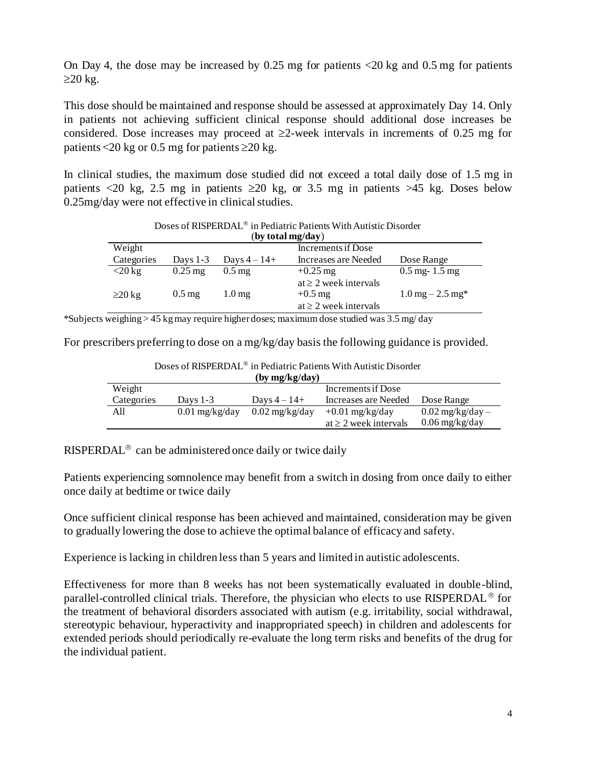On Day 4, the dose may be increased by  $0.25$  mg for patients  $\langle 20 \text{ kg} \rangle$  and  $0.5$  mg for patients  $\geq$ 20 kg.

This dose should be maintained and response should be assessed at approximately Day 14. Only in patients not achieving sufficient clinical response should additional dose increases be considered. Dose increases may proceed at  $\geq 2$ -week intervals in increments of 0.25 mg for patients <20 kg or 0.5 mg for patients  $\geq$ 20 kg.

In clinical studies, the maximum dose studied did not exceed a total daily dose of 1.5 mg in patients  $\langle 20 \text{ kg}, 2.5 \text{ mg}$  in patients  $\geq 20$  kg, or 3.5 mg in patients  $>45$  kg. Doses below 0.25mg/day were not effective in clinical studies.

| (Dy total mg/day) |                     |                     |                                                                       |                                           |  |
|-------------------|---------------------|---------------------|-----------------------------------------------------------------------|-------------------------------------------|--|
| Weight            | Increments if Dose  |                     |                                                                       |                                           |  |
| Categories        | Days $1-3$          | Days $4-14+$        | Increases are Needed                                                  | Dose Range                                |  |
| $<$ 20 kg         | $0.25$ mg           | $0.5 \,\mathrm{mg}$ | $+0.25$ mg                                                            | $0.5 \text{ mg} - 1.5 \text{ mg}$         |  |
| $\geq$ 20 kg      | $0.5 \,\mathrm{mg}$ | 1.0 <sub>mg</sub>   | at $\geq 2$ week intervals<br>$+0.5$ mg<br>at $\geq 2$ week intervals | $1.0 \,\mathrm{mg} - 2.5 \,\mathrm{mg}^*$ |  |

#### Doses of RISPERDAL<sup>®</sup> in Pediatric Patients With Autistic Disorder  $(hv \cdot to to be$

\*Subjects weighing > 45 kg may require higher doses; maximum dose studied was 3.5 mg/ day

For prescribers preferring to dose on a mg/kg/day basis the following guidance is provided.

| (by mg/kg/day) |                  |                          |                            |                      |
|----------------|------------------|--------------------------|----------------------------|----------------------|
| Weight         |                  |                          | Increments if Dose         |                      |
| Categories     | Days $1-3$       | Days $4-14+$             | Increases are Needed       | Dose Range           |
| All            | $0.01$ mg/kg/day | $0.02 \text{ mg/kg/day}$ | $+0.01$ mg/kg/day          | $0.02$ mg/kg/day $-$ |
|                |                  |                          | at $\geq$ 2 week intervals | $0.06$ mg/kg/day     |

Doses of RISPERDAL<sup>®</sup> in Pediatric Patients With Autistic Disorder

RISPERDAL<sup>®</sup> can be administered once daily or twice daily

Patients experiencing somnolence may benefit from a switch in dosing from once daily to either once daily at bedtime or twice daily

Once sufficient clinical response has been achieved and maintained, consideration may be given to gradually lowering the dose to achieve the optimal balance of efficacy and safety.

Experience is lacking in children less than 5 years and limited in autistic adolescents.

Effectiveness for more than 8 weeks has not been systematically evaluated in double-blind, parallel-controlled clinical trials. Therefore, the physician who elects to use RISPERDAL<sup>®</sup> for the treatment of behavioral disorders associated with autism (e.g. irritability, social withdrawal, stereotypic behaviour, hyperactivity and inappropriated speech) in children and adolescents for extended periods should periodically re-evaluate the long term risks and benefits of the drug for the individual patient.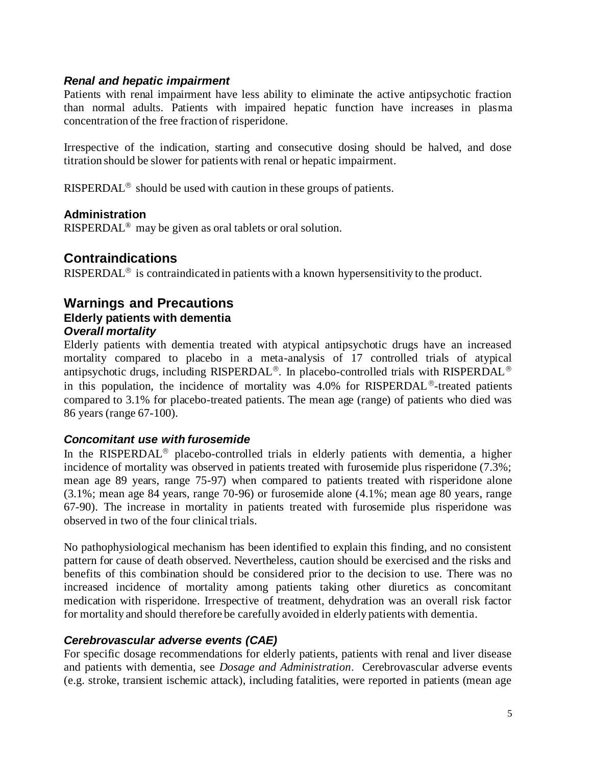#### *Renal and hepatic impairment*

Patients with renal impairment have less ability to eliminate the active antipsychotic fraction than normal adults. Patients with impaired hepatic function have increases in plasma concentration of the free fraction of risperidone.

Irrespective of the indication, starting and consecutive dosing should be halved, and dose titration should be slower for patients with renal or hepatic impairment.

RISPERDAL<sup>®</sup> should be used with caution in these groups of patients.

### **Administration**

RISPERDAL® may be given as oral tablets or oral solution.

# **Contraindications**

RISPERDAL<sup>®</sup> is contraindicated in patients with a known hypersensitivity to the product.

### **Warnings and Precautions Elderly patients with dementia** *Overall mortality*

Elderly patients with dementia treated with atypical antipsychotic drugs have an increased mortality compared to placebo in a meta-analysis of 17 controlled trials of atypical antipsychotic drugs, including RISPERDAL<sup>®</sup>. In placebo-controlled trials with RISPERDAL<sup>®</sup> in this population, the incidence of mortality was  $4.0\%$  for RISPERDAL<sup>®</sup>-treated patients compared to 3.1% for placebo-treated patients. The mean age (range) of patients who died was 86 years (range 67-100).

### *Concomitant use with furosemide*

In the RISPERDAL<sup>®</sup> placebo-controlled trials in elderly patients with dementia, a higher incidence of mortality was observed in patients treated with furosemide plus risperidone (7.3%; mean age 89 years, range 75-97) when compared to patients treated with risperidone alone (3.1%; mean age 84 years, range 70-96) or furosemide alone (4.1%; mean age 80 years, range 67-90). The increase in mortality in patients treated with furosemide plus risperidone was observed in two of the four clinical trials.

No pathophysiological mechanism has been identified to explain this finding, and no consistent pattern for cause of death observed. Nevertheless, caution should be exercised and the risks and benefits of this combination should be considered prior to the decision to use. There was no increased incidence of mortality among patients taking other diuretics as concomitant medication with risperidone. Irrespective of treatment, dehydration was an overall risk factor for mortality and should therefore be carefully avoided in elderly patients with dementia.

### *Cerebrovascular adverse events (CAE)*

For specific dosage recommendations for elderly patients, patients with renal and liver disease and patients with dementia, see *Dosage and Administration*. Cerebrovascular adverse events (e.g. stroke, transient ischemic attack), including fatalities, were reported in patients (mean age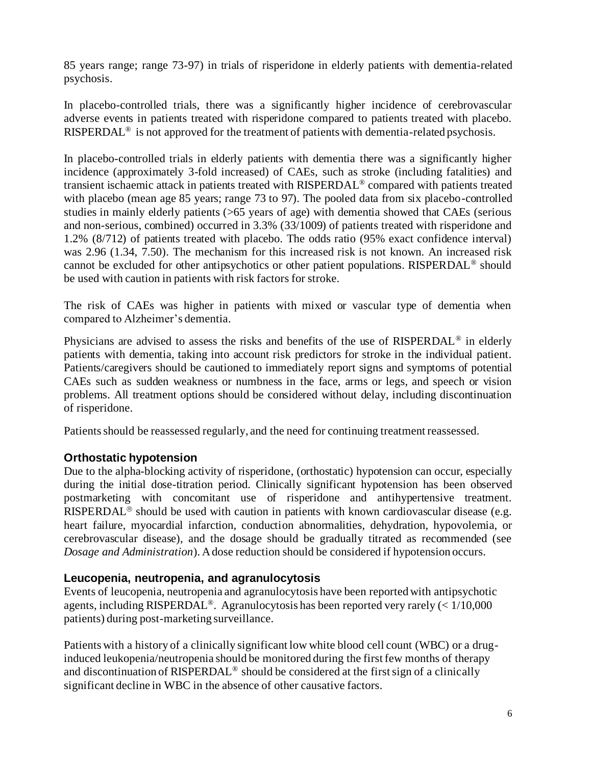85 years range; range 73-97) in trials of risperidone in elderly patients with dementia-related psychosis.

In placebo-controlled trials, there was a significantly higher incidence of cerebrovascular adverse events in patients treated with risperidone compared to patients treated with placebo. RISPERDAL<sup>®</sup> is not approved for the treatment of patients with dementia-related psychosis.

In placebo-controlled trials in elderly patients with dementia there was a significantly higher incidence (approximately 3-fold increased) of CAEs, such as stroke (including fatalities) and transient ischaemic attack in patients treated with RISPERDAL ® compared with patients treated with placebo (mean age 85 years; range 73 to 97). The pooled data from six placebo-controlled studies in mainly elderly patients (>65 years of age) with dementia showed that CAEs (serious and non-serious, combined) occurred in 3.3% (33/1009) of patients treated with risperidone and 1.2% (8/712) of patients treated with placebo. The odds ratio (95% exact confidence interval) was 2.96 (1.34, 7.50). The mechanism for this increased risk is not known. An increased risk cannot be excluded for other antipsychotics or other patient populations. RISPERDAL® should be used with caution in patients with risk factors for stroke.

The risk of CAEs was higher in patients with mixed or vascular type of dementia when compared to Alzheimer's dementia.

Physicians are advised to assess the risks and benefits of the use of RISPERDAL® in elderly patients with dementia, taking into account risk predictors for stroke in the individual patient. Patients/caregivers should be cautioned to immediately report signs and symptoms of potential CAEs such as sudden weakness or numbness in the face, arms or legs, and speech or vision problems. All treatment options should be considered without delay, including discontinuation of risperidone.

Patients should be reassessed regularly, and the need for continuing treatment reassessed.

# **Orthostatic hypotension**

Due to the alpha-blocking activity of risperidone, (orthostatic) hypotension can occur, especially during the initial dose-titration period. Clinically significant hypotension has been observed postmarketing with concomitant use of risperidone and antihypertensive treatment. RISPERDAL<sup>®</sup> should be used with caution in patients with known cardiovascular disease (e.g. heart failure, myocardial infarction, conduction abnormalities, dehydration, hypovolemia, or cerebrovascular disease), and the dosage should be gradually titrated as recommended (see *Dosage and Administration*). A dose reduction should be considered if hypotension occurs.

### **Leucopenia, neutropenia, and agranulocytosis**

Events of leucopenia, neutropenia and agranulocytosis have been reported with antipsychotic agents, including RISPERDAL<sup>®</sup>. Agranulocytosis has been reported very rarely  $\ll 1/10,000$ patients) during post-marketing surveillance.

Patients with a history of a clinically significant low white blood cell count (WBC) or a druginduced leukopenia/neutropenia should be monitored during the first few months of therapy and discontinuation of RISPERDAL® should be considered at the first sign of a clinically significant decline in WBC in the absence of other causative factors.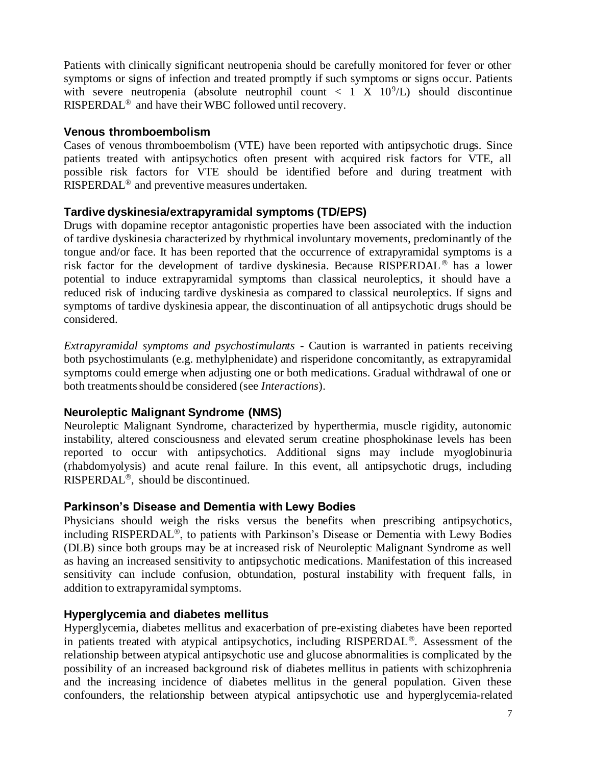Patients with clinically significant neutropenia should be carefully monitored for fever or other symptoms or signs of infection and treated promptly if such symptoms or signs occur. Patients with severe neutropenia (absolute neutrophil count  $\langle 1 \times 10^9/L \rangle$  should discontinue RISPERDAL® and have their WBC followed until recovery.

### **Venous thromboembolism**

Cases of venous thromboembolism (VTE) have been reported with antipsychotic drugs. Since patients treated with antipsychotics often present with acquired risk factors for VTE, all possible risk factors for VTE should be identified before and during treatment with RISPERDAL® and preventive measures undertaken.

### **Tardive dyskinesia/extrapyramidal symptoms (TD/EPS)**

Drugs with dopamine receptor antagonistic properties have been associated with the induction of tardive dyskinesia characterized by rhythmical involuntary movements, predominantly of the tongue and/or face. It has been reported that the occurrence of extrapyramidal symptoms is a risk factor for the development of tardive dyskinesia. Because RISPERDAL<sup>®</sup> has a lower potential to induce extrapyramidal symptoms than classical neuroleptics, it should have a reduced risk of inducing tardive dyskinesia as compared to classical neuroleptics. If signs and symptoms of tardive dyskinesia appear, the discontinuation of all antipsychotic drugs should be considered.

*Extrapyramidal symptoms and psychostimulants* - Caution is warranted in patients receiving both psychostimulants (e.g. methylphenidate) and risperidone concomitantly, as extrapyramidal symptoms could emerge when adjusting one or both medications. Gradual withdrawal of one or both treatments should be considered (see *Interactions*).

### **Neuroleptic Malignant Syndrome (NMS)**

Neuroleptic Malignant Syndrome, characterized by hyperthermia, muscle rigidity, autonomic instability, altered consciousness and elevated serum creatine phosphokinase levels has been reported to occur with antipsychotics. Additional signs may include myoglobinuria (rhabdomyolysis) and acute renal failure. In this event, all antipsychotic drugs, including RISPERDAL<sup>®</sup>, should be discontinued.

### **Parkinson's Disease and Dementia with Lewy Bodies**

Physicians should weigh the risks versus the benefits when prescribing antipsychotics, including RISPERDAL<sup>®</sup>, to patients with Parkinson's Disease or Dementia with Lewy Bodies (DLB) since both groups may be at increased risk of Neuroleptic Malignant Syndrome as well as having an increased sensitivity to antipsychotic medications. Manifestation of this increased sensitivity can include confusion, obtundation, postural instability with frequent falls, in addition to extrapyramidal symptoms.

# **Hyperglycemia and diabetes mellitus**

Hyperglycemia, diabetes mellitus and exacerbation of pre-existing diabetes have been reported in patients treated with atypical antipsychotics, including  $RISPERDAL<sup>®</sup>$ . Assessment of the relationship between atypical antipsychotic use and glucose abnormalities is complicated by the possibility of an increased background risk of diabetes mellitus in patients with schizophrenia and the increasing incidence of diabetes mellitus in the general population. Given these confounders, the relationship between atypical antipsychotic use and hyperglycemia-related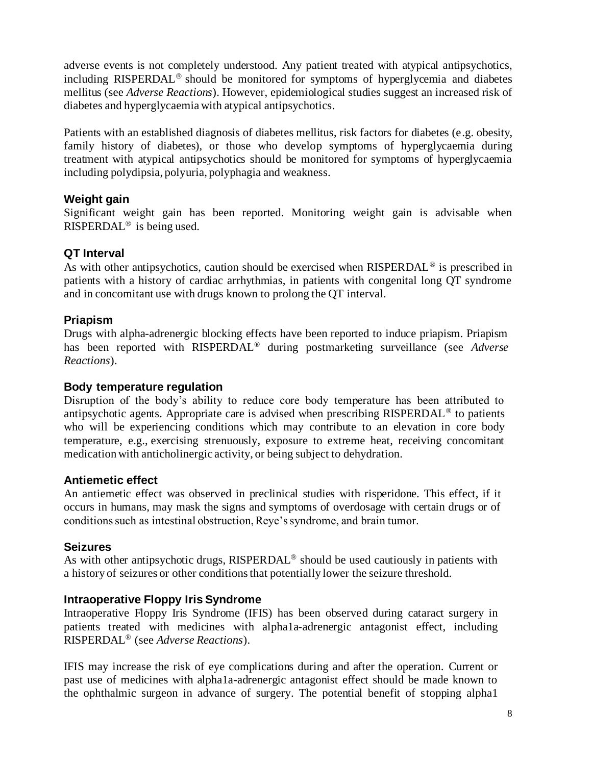adverse events is not completely understood. Any patient treated with atypical antipsychotics, including RISPERDAL<sup>®</sup> should be monitored for symptoms of hyperglycemia and diabetes mellitus (see *Adverse Reactions*). However, epidemiological studies suggest an increased risk of diabetes and hyperglycaemia with atypical antipsychotics.

Patients with an established diagnosis of diabetes mellitus, risk factors for diabetes (e.g. obesity, family history of diabetes), or those who develop symptoms of hyperglycaemia during treatment with atypical antipsychotics should be monitored for symptoms of hyperglycaemia including polydipsia, polyuria, polyphagia and weakness.

# **Weight gain**

Significant weight gain has been reported. Monitoring weight gain is advisable when RISPERDAL<sup>®</sup> is being used.

# **QT Interval**

As with other antipsychotics, caution should be exercised when RISPERDAL<sup>®</sup> is prescribed in patients with a history of cardiac arrhythmias, in patients with congenital long QT syndrome and in concomitant use with drugs known to prolong the QT interval.

# **Priapism**

Drugs with alpha-adrenergic blocking effects have been reported to induce priapism. Priapism has been reported with RISPERDAL® during postmarketing surveillance (see *Adverse Reactions*).

### **Body temperature regulation**

Disruption of the body's ability to reduce core body temperature has been attributed to antipsychotic agents. Appropriate care is advised when prescribing RISPERDAL® to patients who will be experiencing conditions which may contribute to an elevation in core body temperature, e.g., exercising strenuously, exposure to extreme heat, receiving concomitant medication with anticholinergic activity, or being subject to dehydration.

# **Antiemetic effect**

An antiemetic effect was observed in preclinical studies with risperidone. This effect, if it occurs in humans, may mask the signs and symptoms of overdosage with certain drugs or of conditions such as intestinal obstruction, Reye's syndrome, and brain tumor.

### **Seizures**

As with other antipsychotic drugs, RISPERDAL<sup>®</sup> should be used cautiously in patients with a history of seizures or other conditions that potentially lower the seizure threshold.

# **Intraoperative Floppy Iris Syndrome**

Intraoperative Floppy Iris Syndrome (IFIS) has been observed during cataract surgery in patients treated with medicines with alpha1a-adrenergic antagonist effect, including RISPERDAL® (see *Adverse Reactions*).

IFIS may increase the risk of eye complications during and after the operation. Current or past use of medicines with alpha1a-adrenergic antagonist effect should be made known to the ophthalmic surgeon in advance of surgery. The potential benefit of stopping alpha1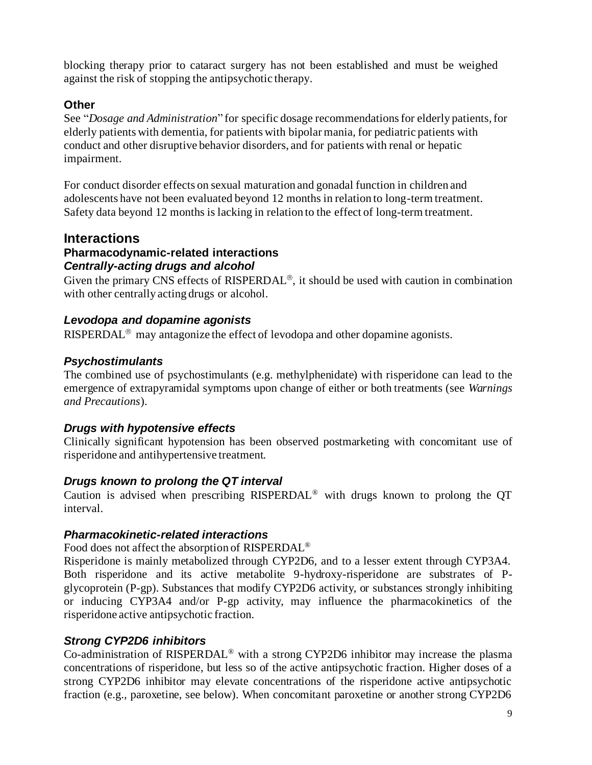blocking therapy prior to cataract surgery has not been established and must be weighed against the risk of stopping the antipsychotic therapy.

# **Other**

See "*Dosage and Administration*" for specific dosage recommendations for elderly patients, for elderly patients with dementia, for patients with bipolar mania, for pediatric patients with conduct and other disruptive behavior disorders, and for patients with renal or hepatic impairment.

For conduct disorder effects on sexual maturation and gonadal function in children and adolescents have not been evaluated beyond 12 months in relation to long-term treatment. Safety data beyond 12 months is lacking in relation to the effect of long-term treatment.

# **Interactions**

# **Pharmacodynamic-related interactions** *Centrally-acting drugs and alcohol*

Given the primary CNS effects of RISPERDAL<sup>®</sup>, it should be used with caution in combination with other centrally acting drugs or alcohol.

# *Levodopa and dopamine agonists*

RISPERDAL<sup>®</sup> may antagonize the effect of levodopa and other dopamine agonists.

# *Psychostimulants*

The combined use of psychostimulants (e.g. methylphenidate) with risperidone can lead to the emergence of extrapyramidal symptoms upon change of either or both treatments (see *Warnings and Precautions*).

# *Drugs with hypotensive effects*

Clinically significant hypotension has been observed postmarketing with concomitant use of risperidone and antihypertensive treatment.

### *Drugs known to prolong the QT interval*

Caution is advised when prescribing RISPERDAL® with drugs known to prolong the QT interval.

# *Pharmacokinetic-related interactions*

Food does not affect the absorption of RISPERDAL®

Risperidone is mainly metabolized through CYP2D6, and to a lesser extent through CYP3A4. Both risperidone and its active metabolite 9-hydroxy-risperidone are substrates of Pglycoprotein (P-gp). Substances that modify CYP2D6 activity, or substances strongly inhibiting or inducing CYP3A4 and/or P-gp activity, may influence the pharmacokinetics of the risperidone active antipsychotic fraction.

# *Strong CYP2D6 inhibitors*

Co-administration of RISPERDAL® with a strong CYP2D6 inhibitor may increase the plasma concentrations of risperidone, but less so of the active antipsychotic fraction. Higher doses of a strong CYP2D6 inhibitor may elevate concentrations of the risperidone active antipsychotic fraction (e.g., paroxetine, see below). When concomitant paroxetine or another strong CYP2D6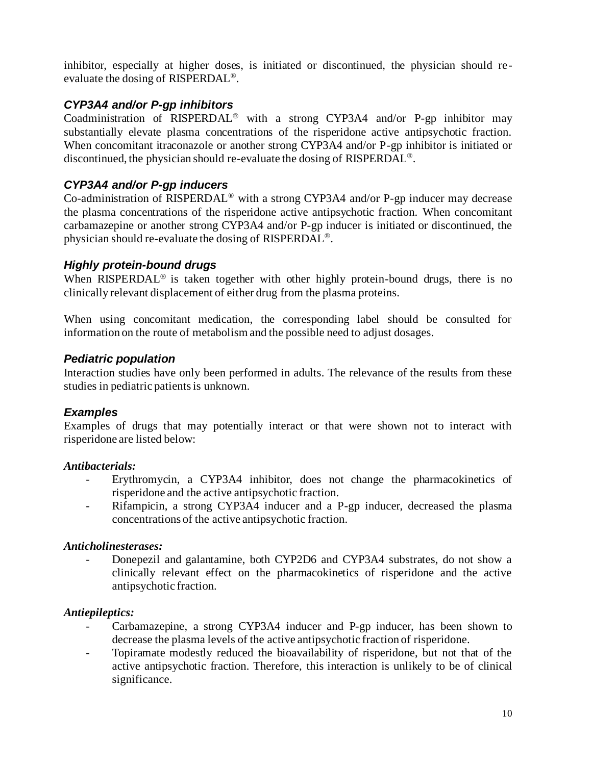inhibitor, especially at higher doses, is initiated or discontinued, the physician should reevaluate the dosing of RISPERDAL®.

# *CYP3A4 and/or P-gp inhibitors*

Coadministration of RISPERDAL® with a strong CYP3A4 and/or P-gp inhibitor may substantially elevate plasma concentrations of the risperidone active antipsychotic fraction. When concomitant itraconazole or another strong CYP3A4 and/or P-gp inhibitor is initiated or discontinued, the physician should re-evaluate the dosing of RISPERDAL ®.

# *CYP3A4 and/or P-gp inducers*

Co-administration of RISPERDAL® with a strong CYP3A4 and/or P-gp inducer may decrease the plasma concentrations of the risperidone active antipsychotic fraction. When concomitant carbamazepine or another strong CYP3A4 and/or P-gp inducer is initiated or discontinued, the physician should re-evaluate the dosing of RISPERDAL®.

### *Highly protein-bound drugs*

When RISPERDAL<sup>®</sup> is taken together with other highly protein-bound drugs, there is no clinically relevant displacement of either drug from the plasma proteins.

When using concomitant medication, the corresponding label should be consulted for information on the route of metabolism and the possible need to adjust dosages.

### *Pediatric population*

Interaction studies have only been performed in adults. The relevance of the results from these studies in pediatric patients is unknown.

### *Examples*

Examples of drugs that may potentially interact or that were shown not to interact with risperidone are listed below:

### *Antibacterials:*

- Erythromycin, a CYP3A4 inhibitor, does not change the pharmacokinetics of risperidone and the active antipsychotic fraction.
- Rifampicin, a strong CYP3A4 inducer and a P-gp inducer, decreased the plasma concentrations of the active antipsychotic fraction.

### *Anticholinesterases:*

Donepezil and galantamine, both CYP2D6 and CYP3A4 substrates, do not show a clinically relevant effect on the pharmacokinetics of risperidone and the active antipsychotic fraction.

### *Antiepileptics:*

- Carbamazepine, a strong CYP3A4 inducer and P-gp inducer, has been shown to decrease the plasma levels of the active antipsychotic fraction of risperidone.
- Topiramate modestly reduced the bioavailability of risperidone, but not that of the active antipsychotic fraction. Therefore, this interaction is unlikely to be of clinical significance.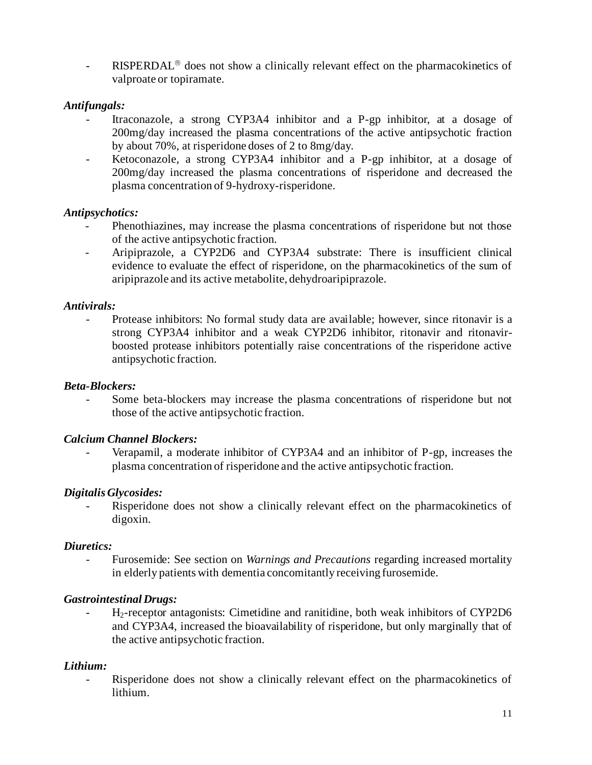- RISPERDAL<sup>®</sup> does not show a clinically relevant effect on the pharmacokinetics of valproate or topiramate.

#### *Antifungals:*

- Itraconazole, a strong CYP3A4 inhibitor and a P-gp inhibitor, at a dosage of 200mg/day increased the plasma concentrations of the active antipsychotic fraction by about 70%, at risperidone doses of 2 to 8mg/day.
- Ketoconazole, a strong CYP3A4 inhibitor and a P-gp inhibitor, at a dosage of 200mg/day increased the plasma concentrations of risperidone and decreased the plasma concentration of 9-hydroxy-risperidone.

#### *Antipsychotics:*

- Phenothiazines, may increase the plasma concentrations of risperidone but not those of the active antipsychotic fraction.
- Aripiprazole, a CYP2D6 and CYP3A4 substrate: There is insufficient clinical evidence to evaluate the effect of risperidone, on the pharmacokinetics of the sum of aripiprazole and its active metabolite, dehydroaripiprazole.

#### *Antivirals:*

Protease inhibitors: No formal study data are available; however, since ritonavir is a strong CYP3A4 inhibitor and a weak CYP2D6 inhibitor, ritonavir and ritonavirboosted protease inhibitors potentially raise concentrations of the risperidone active antipsychotic fraction.

#### *Beta-Blockers:*

- Some beta-blockers may increase the plasma concentrations of risperidone but not those of the active antipsychotic fraction.

#### *Calcium Channel Blockers:*

Verapamil, a moderate inhibitor of CYP3A4 and an inhibitor of P-gp, increases the plasma concentration of risperidone and the active antipsychotic fraction.

#### *Digitalis Glycosides:*

Risperidone does not show a clinically relevant effect on the pharmacokinetics of digoxin.

#### *Diuretics:*

Furosemide: See section on *Warnings and Precautions* regarding increased mortality in elderly patients with dementia concomitantly receiving furosemide.

### *Gastrointestinal Drugs:*

- H2-receptor antagonists: Cimetidine and ranitidine, both weak inhibitors of CYP2D6 and CYP3A4, increased the bioavailability of risperidone, but only marginally that of the active antipsychotic fraction.

### *Lithium:*

Risperidone does not show a clinically relevant effect on the pharmacokinetics of lithium.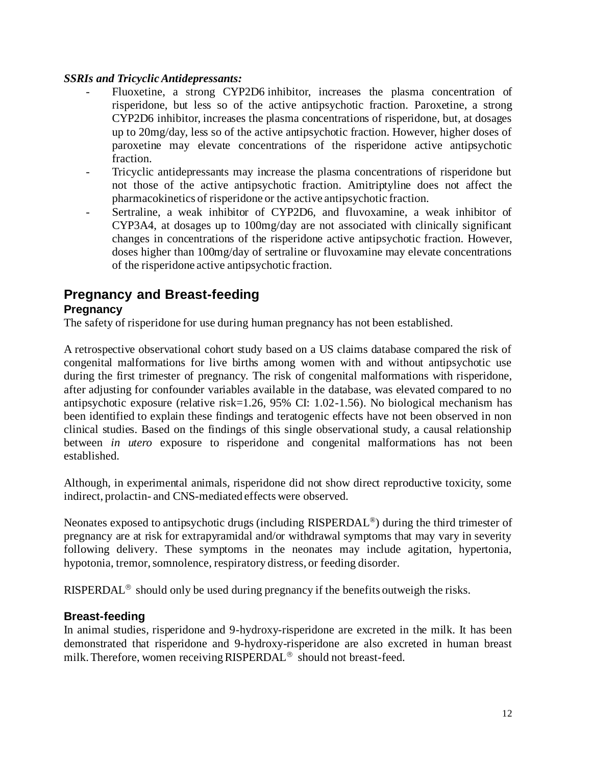#### *SSRIs and Tricyclic Antidepressants:*

- Fluoxetine, a strong CYP2D6 inhibitor, increases the plasma concentration of risperidone, but less so of the active antipsychotic fraction. Paroxetine, a strong CYP2D6 inhibitor, increases the plasma concentrations of risperidone, but, at dosages up to 20mg/day, less so of the active antipsychotic fraction. However, higher doses of paroxetine may elevate concentrations of the risperidone active antipsychotic fraction.
- Tricyclic antidepressants may increase the plasma concentrations of risperidone but not those of the active antipsychotic fraction. Amitriptyline does not affect the pharmacokinetics of risperidone or the active antipsychotic fraction.
- Sertraline, a weak inhibitor of CYP2D6, and fluvoxamine, a weak inhibitor of CYP3A4, at dosages up to 100mg/day are not associated with clinically significant changes in concentrations of the risperidone active antipsychotic fraction. However, doses higher than 100mg/day of sertraline or fluvoxamine may elevate concentrations of the risperidone active antipsychotic fraction.

# **Pregnancy and Breast-feeding Pregnancy**

The safety of risperidone for use during human pregnancy has not been established.

A retrospective observational cohort study based on a US claims database compared the risk of congenital malformations for live births among women with and without antipsychotic use during the first trimester of pregnancy. The risk of congenital malformations with risperidone, after adjusting for confounder variables available in the database, was elevated compared to no antipsychotic exposure (relative risk=1.26, 95% CI: 1.02-1.56). No biological mechanism has been identified to explain these findings and teratogenic effects have not been observed in non clinical studies. Based on the findings of this single observational study, a causal relationship between *in utero* exposure to risperidone and congenital malformations has not been established.

Although, in experimental animals, risperidone did not show direct reproductive toxicity, some indirect, prolactin- and CNS-mediated effects were observed.

Neonates exposed to antipsychotic drugs (including RISPERDAL®) during the third trimester of pregnancy are at risk for extrapyramidal and/or withdrawal symptoms that may vary in severity following delivery. These symptoms in the neonates may include agitation, hypertonia, hypotonia, tremor, somnolence, respiratory distress, or feeding disorder.

RISPERDAL<sup>®</sup> should only be used during pregnancy if the benefits outweigh the risks.

### **Breast-feeding**

In animal studies, risperidone and 9-hydroxy-risperidone are excreted in the milk. It has been demonstrated that risperidone and 9-hydroxy-risperidone are also excreted in human breast milk. Therefore, women receiving  $RISPERDAL^{\circledR}$  should not breast-feed.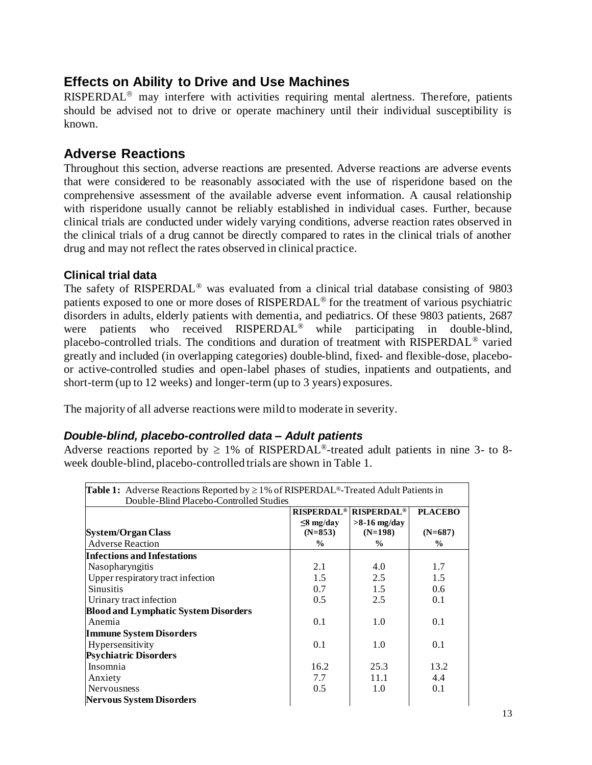# **Effects on Ability to Drive and Use Machines**

 $RISPERDAL<sup>®</sup>$  may interfere with activities requiring mental alertness. Therefore, patients should be advised not to drive or operate machinery until their individual susceptibility is known.

# **Adverse Reactions**

Throughout this section, adverse reactions are presented. Adverse reactions are adverse events that were considered to be reasonably associated with the use of risperidone based on the comprehensive assessment of the available adverse event information. A causal relationship with risperidone usually cannot be reliably established in individual cases. Further, because clinical trials are conducted under widely varying conditions, adverse reaction rates observed in the clinical trials of a drug cannot be directly compared to rates in the clinical trials of another drug and may not reflect the rates observed in clinical practice.

### **Clinical trial data**

The safety of RISPERDAL<sup>®</sup> was evaluated from a clinical trial database consisting of 9803 patients exposed to one or more doses of  $RISPERDAL^{\circledR}$  for the treatment of various psychiatric disorders in adults, elderly patients with dementia, and pediatrics. Of these 9803 patients, 2687 were patients who received RISPERDAL<sup>®</sup> while participating in double-blind, placebo-controlled trials. The conditions and duration of treatment with RISPERDAL® varied greatly and included (in overlapping categories) double-blind, fixed- and flexible-dose, placeboor active-controlled studies and open-label phases of studies, inpatients and outpatients, and short-term (up to 12 weeks) and longer-term (up to 3 years) exposures.

The majority of all adverse reactions were mild to moderate in severity.

### *Double-blind, placebo-controlled data – Adult patients*

Adverse reactions reported by  $\geq 1\%$  of RISPERDAL<sup>®</sup>-treated adult patients in nine 3- to 8week double-blind, placebo-controlled trials are shown in Table 1.

| <b>Table 1:</b> Adverse Reactions Reported by $\geq 1\%$ of RISPERDAL <sup>®</sup> -Treated Adult Patients in<br>Double-Blind Placebo-Controlled Studies |                 |                                                    |                |
|----------------------------------------------------------------------------------------------------------------------------------------------------------|-----------------|----------------------------------------------------|----------------|
|                                                                                                                                                          |                 | <b>RISPERDAL<sup>®</sup> RISPERDAL<sup>®</sup></b> | <b>PLACEBO</b> |
|                                                                                                                                                          | $\leq$ 8 mg/day | $>8-16$ mg/day                                     |                |
| <b>System/Organ Class</b>                                                                                                                                | $(N=853)$       | $(N=198)$                                          | $(N=687)$      |
| <b>Adverse Reaction</b>                                                                                                                                  | $\frac{0}{0}$   | $\frac{1}{2}$                                      | $\frac{0}{0}$  |
| <b>Infections and Infestations</b>                                                                                                                       |                 |                                                    |                |
| Nasopharyngitis                                                                                                                                          | 2.1             | 4.0                                                | 1.7            |
| Upper respiratory tract infection                                                                                                                        | 1.5             | 2.5                                                | 1.5            |
| <b>Sinusitis</b>                                                                                                                                         | 0.7             | 1.5                                                | $0.6^{\circ}$  |
| Urinary tract infection                                                                                                                                  | 0.5             | 2.5                                                | 0.1            |
| <b>Blood and Lymphatic System Disorders</b>                                                                                                              |                 |                                                    |                |
| Anemia                                                                                                                                                   | 0.1             | 1.0                                                | 0.1            |
| <b>Immune System Disorders</b>                                                                                                                           |                 |                                                    |                |
| Hypersensitivity                                                                                                                                         | 0.1             | 1.0                                                | 0.1            |
| <b>Psychiatric Disorders</b>                                                                                                                             |                 |                                                    |                |
| Insomnia                                                                                                                                                 | 16.2            | 25.3                                               | 13.2           |
| Anxiety                                                                                                                                                  | 7.7             | 11.1                                               | 4.4            |
| <b>Nervousness</b>                                                                                                                                       | 0.5             | 1.0                                                | 0.1            |
| <b>Nervous System Disorders</b>                                                                                                                          |                 |                                                    |                |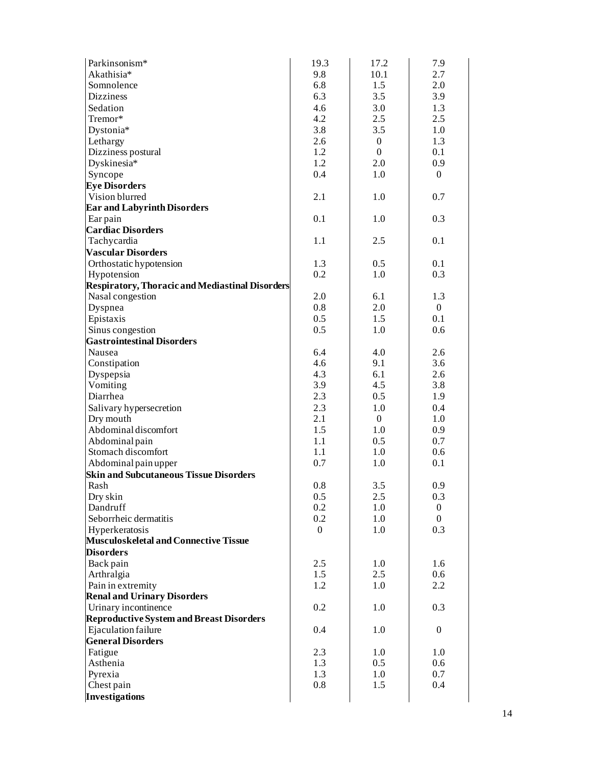| Parkinsonism*                                                           | 19.3           | 17.2           | 7.9            |
|-------------------------------------------------------------------------|----------------|----------------|----------------|
| Akathisia*                                                              | 9.8            | 10.1           | 2.7            |
| Somnolence                                                              | 6.8            | 1.5            | 2.0            |
| <b>Dizziness</b>                                                        | 6.3            | 3.5            | 3.9            |
| Sedation                                                                | 4.6            | 3.0            | 1.3            |
| Tremor*                                                                 | 4.2            | 2.5            | 2.5            |
| Dystonia*                                                               | 3.8            | 3.5            | 1.0            |
| Lethargy                                                                | 2.6            | $\overline{0}$ | 1.3            |
| Dizziness postural                                                      | 1.2            | $\mathbf{0}$   | 0.1            |
| Dyskinesia*                                                             | 1.2            | 2.0            | 0.9            |
|                                                                         | 0.4            |                |                |
| Syncope                                                                 |                | 1.0            | $\mathbf{0}$   |
| <b>Eye Disorders</b>                                                    |                |                |                |
| Vision blurred                                                          | 2.1            | 1.0            | 0.7            |
| <b>Ear and Labyrinth Disorders</b>                                      |                |                |                |
| Ear pain                                                                | 0.1            | 1.0            | 0.3            |
| <b>Cardiac Disorders</b>                                                |                |                |                |
| Tachycardia                                                             | 1.1            | 2.5            | 0.1            |
| <b>Vascular Disorders</b>                                               |                |                |                |
| Orthostatic hypotension                                                 | 1.3            | 0.5            | 0.1            |
| Hypotension                                                             | 0.2            | 1.0            | 0.3            |
| Respiratory, Thoracic and Mediastinal Disorders                         |                |                |                |
| Nasal congestion                                                        | 2.0            | 6.1            | 1.3            |
| Dyspnea                                                                 | 0.8            | 2.0            | $\overline{0}$ |
| Epistaxis                                                               | 0.5            | 1.5            | 0.1            |
| Sinus congestion                                                        | 0.5            | 1.0            | 0.6            |
| <b>Gastrointestinal Disorders</b>                                       |                |                |                |
| Nausea                                                                  | 6.4            | 4.0            | 2.6            |
| Constipation                                                            | 4.6            | 9.1            | 3.6            |
| Dyspepsia                                                               | 4.3            | 6.1            | 2.6            |
| Vomiting                                                                | 3.9            | 4.5            | 3.8            |
| Diarrhea                                                                | 2.3            | 0.5            | 1.9            |
| Salivary hypersecretion                                                 | 2.3            | 1.0            | 0.4            |
| Dry mouth                                                               | 2.1            | $\overline{0}$ | 1.0            |
| Abdominal discomfort                                                    | 1.5            | 1.0            | 0.9            |
| Abdominal pain                                                          | 1.1            | 0.5            | 0.7            |
| Stomach discomfort                                                      | 1.1            | 1.0            | 0.6            |
| Abdominal pain upper                                                    | 0.7            | 1.0            | 0.1            |
| <b>Skin and Subcutaneous Tissue Disorders</b>                           |                |                |                |
| Rash                                                                    | 0.8            | 3.5            | 0.9            |
| Dry skin                                                                | 0.5            | 2.5            | 0.3            |
| Dandruff                                                                | 0.2            | 1.0            | $\mathbf{0}$   |
| Seborrheic dermatitis                                                   | 0.2            | 1.0            | $\overline{0}$ |
| Hyperkeratosis                                                          | $\overline{0}$ | 1.0            | 0.3            |
| <b>Musculoskeletal and Connective Tissue</b>                            |                |                |                |
| <b>Disorders</b>                                                        |                |                |                |
| Back pain                                                               | 2.5            | 1.0            | 1.6            |
| Arthralgia                                                              | 1.5            | 2.5            | 0.6            |
| Pain in extremity                                                       | 1.2            | 1.0            | 2.2            |
| <b>Renal and Urinary Disorders</b>                                      |                |                |                |
|                                                                         | 0.2            | 1.0            | 0.3            |
| Urinary incontinence<br><b>Reproductive System and Breast Disorders</b> |                |                |                |
|                                                                         |                |                |                |
| Ejaculation failure<br><b>General Disorders</b>                         | 0.4            | 1.0            | $\mathbf{0}$   |
|                                                                         | 2.3            | 1.0            | 1.0            |
| Fatigue<br>Asthenia                                                     | 1.3            | 0.5            | 0.6            |
| Pyrexia                                                                 | 1.3            | 1.0            | 0.7            |
| Chest pain                                                              | 0.8            | 1.5            | 0.4            |
| <b>Investigations</b>                                                   |                |                |                |
|                                                                         |                |                |                |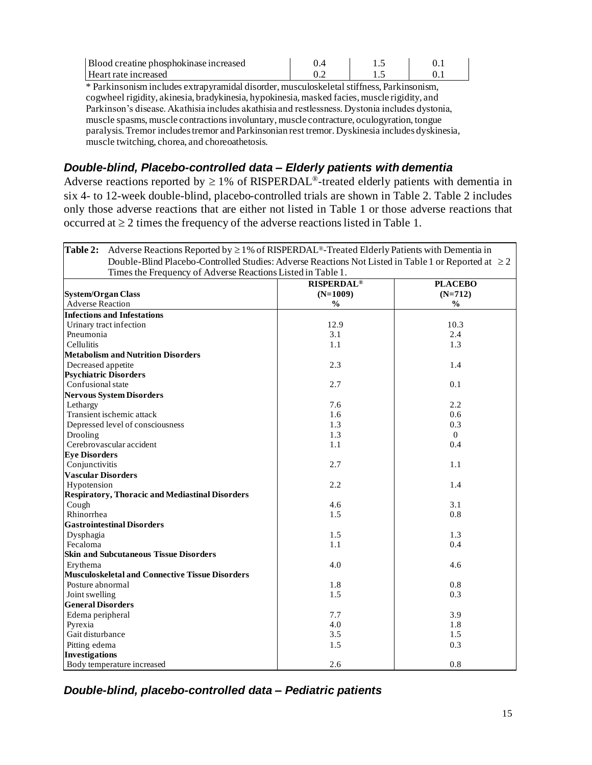| Blood creatine phosphokinase increased                                                     |  |  |  |
|--------------------------------------------------------------------------------------------|--|--|--|
| Heart rate increased                                                                       |  |  |  |
| $*$ Parkinsonism includes extranyramidal disorder, musculoskeletal stiffness. Parkinsonism |  |  |  |

Parkinsonism includes extrapyramidal disorder, musculoskeletal stiffness, Parkinsonism, cogwheel rigidity, akinesia, bradykinesia, hypokinesia, masked facies, muscle rigidity, and Parkinson's disease. Akathisia includes akathisia and restlessness. Dystonia includes dystonia, muscle spasms, muscle contractions involuntary, muscle contracture, oculogyration, tongue paralysis. Tremor includes tremor and Parkinsonian rest tremor. Dyskinesia includes dyskinesia, muscle twitching, chorea, and choreoathetosis.

# *Double-blind, Placebo-controlled data – Elderly patients with dementia*

Adverse reactions reported by  $\geq 1\%$  of RISPERDAL<sup>®</sup>-treated elderly patients with dementia in six 4- to 12-week double-blind, placebo-controlled trials are shown in Table 2. Table 2 includes only those adverse reactions that are either not listed in Table 1 or those adverse reactions that occurred at  $\geq 2$  times the frequency of the adverse reactions listed in Table 1.

| <b>Table 2:</b> Adverse Reactions Reported by $\geq 1\%$ of RISPERDAL <sup>®</sup> -Treated Elderly Patients with Dementia in |                              |                |  |  |
|-------------------------------------------------------------------------------------------------------------------------------|------------------------------|----------------|--|--|
| Double-Blind Placebo-Controlled Studies: Adverse Reactions Not Listed in Table 1 or Reported at $\geq 2$                      |                              |                |  |  |
| Times the Frequency of Adverse Reactions Listed in Table 1.                                                                   |                              |                |  |  |
|                                                                                                                               | <b>RISPERDAL<sup>®</sup></b> | <b>PLACEBO</b> |  |  |
| <b>System/Organ Class</b>                                                                                                     | $(N=1009)$                   | $(N=712)$      |  |  |
| <b>Adverse Reaction</b>                                                                                                       | $\frac{0}{0}$                | $\frac{0}{0}$  |  |  |
| <b>Infections and Infestations</b>                                                                                            |                              |                |  |  |
| Urinary tract infection                                                                                                       | 12.9                         | 10.3           |  |  |
| Pneumonia                                                                                                                     | 3.1                          | 2.4            |  |  |
| <b>Cellulitis</b>                                                                                                             | 1.1                          | 1.3            |  |  |
| <b>Metabolism and Nutrition Disorders</b>                                                                                     |                              |                |  |  |
| Decreased appetite                                                                                                            | 2.3                          | 1.4            |  |  |
| <b>Psychiatric Disorders</b>                                                                                                  |                              |                |  |  |
| Confusional state                                                                                                             | 2.7                          | 0.1            |  |  |
| <b>Nervous System Disorders</b>                                                                                               |                              |                |  |  |
| Lethargy                                                                                                                      | 7.6                          | 2.2            |  |  |
| Transient ischemic attack                                                                                                     | 1.6                          | 0.6            |  |  |
| Depressed level of consciousness                                                                                              | 1.3                          | 0.3            |  |  |
| Drooling                                                                                                                      | 1.3                          | $\overline{0}$ |  |  |
| Cerebrovascular accident                                                                                                      | 1.1                          | 0.4            |  |  |
| <b>Eye Disorders</b>                                                                                                          |                              |                |  |  |
| Conjunctivitis                                                                                                                | 2.7                          | 1.1            |  |  |
| <b>Vascular Disorders</b>                                                                                                     |                              |                |  |  |
| Hypotension                                                                                                                   | 2.2                          | 1.4            |  |  |
| <b>Respiratory, Thoracic and Mediastinal Disorders</b>                                                                        |                              |                |  |  |
| Cough                                                                                                                         | 4.6                          | 3.1            |  |  |
| Rhinorrhea                                                                                                                    | 1.5                          | 0.8            |  |  |
| <b>Gastrointestinal Disorders</b>                                                                                             |                              |                |  |  |
| Dysphagia                                                                                                                     | 1.5                          | 1.3            |  |  |
| Fecaloma                                                                                                                      | 1.1                          | 0.4            |  |  |
| <b>Skin and Subcutaneous Tissue Disorders</b>                                                                                 |                              |                |  |  |
| Erythema                                                                                                                      | 4.0                          | 4.6            |  |  |
| <b>Musculoskeletal and Connective Tissue Disorders</b>                                                                        |                              |                |  |  |
| Posture abnormal                                                                                                              | 1.8                          | 0.8            |  |  |
| Joint swelling                                                                                                                | 1.5                          | 0.3            |  |  |
| <b>General Disorders</b>                                                                                                      |                              |                |  |  |
| Edema peripheral                                                                                                              | 7.7                          | 3.9            |  |  |
| Pyrexia                                                                                                                       | 4.0                          | 1.8            |  |  |
| Gait disturbance                                                                                                              | 3.5                          | 1.5            |  |  |
| Pitting edema                                                                                                                 | 1.5                          | 0.3            |  |  |
| <b>Investigations</b>                                                                                                         |                              |                |  |  |
| Body temperature increased                                                                                                    | 2.6                          | 0.8            |  |  |

*Double-blind, placebo-controlled data – Pediatric patients*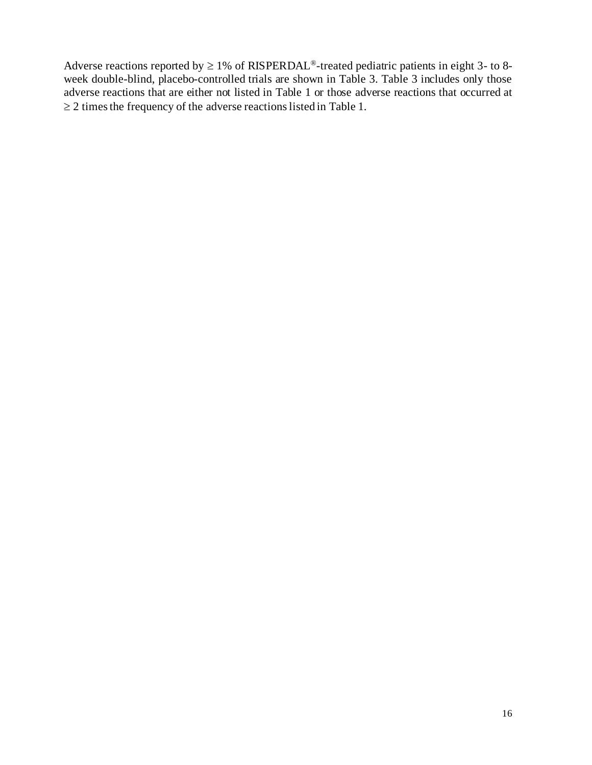Adverse reactions reported by  $\geq 1\%$  of RISPERDAL<sup>®</sup>-treated pediatric patients in eight 3- to 8week double-blind, placebo-controlled trials are shown in Table 3. Table 3 includes only those adverse reactions that are either not listed in Table 1 or those adverse reactions that occurred at  $\geq$  2 times the frequency of the adverse reactions listed in Table 1.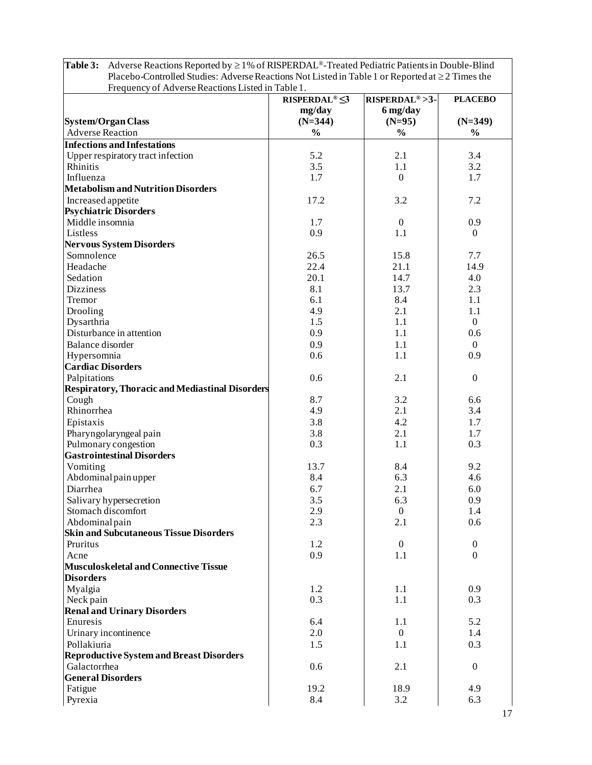| Placebo-Controlled Studies: Adverse Reactions Not Listed in Table 1 or Reported at $\geq 2$ Times the<br>Frequency of Adverse Reactions Listed in Table 1. |                               |                            |                  |
|------------------------------------------------------------------------------------------------------------------------------------------------------------|-------------------------------|----------------------------|------------------|
|                                                                                                                                                            | <b>RISPERDAL<sup>®</sup>S</b> | RISPERDAL <sup>®</sup> >3- | <b>PLACEBO</b>   |
|                                                                                                                                                            | mg/day                        | 6 mg/day                   |                  |
| <b>System/Organ Class</b>                                                                                                                                  | $(N=344)$                     | $(N=95)$                   | $(N=349)$        |
| <b>Adverse Reaction</b>                                                                                                                                    | $\frac{0}{0}$                 | $\frac{0}{0}$              | $\frac{0}{0}$    |
| <b>Infections and Infestations</b>                                                                                                                         |                               |                            |                  |
| Upper respiratory tract infection                                                                                                                          | 5.2                           | 2.1                        | 3.4              |
| Rhinitis                                                                                                                                                   | 3.5                           | 1.1                        | 3.2              |
| Influenza                                                                                                                                                  | 1.7                           | $\boldsymbol{0}$           | 1.7              |
| <b>Metabolism and Nutrition Disorders</b>                                                                                                                  |                               |                            |                  |
| Increased appetite                                                                                                                                         | 17.2                          | 3.2                        | 7.2              |
| <b>Psychiatric Disorders</b>                                                                                                                               |                               |                            |                  |
| Middle insomnia                                                                                                                                            | 1.7                           | $\boldsymbol{0}$           | 0.9              |
| Listless                                                                                                                                                   | 0.9                           | 1.1                        | $\Omega$         |
| <b>Nervous System Disorders</b>                                                                                                                            |                               |                            |                  |
| Somnolence                                                                                                                                                 | 26.5                          | 15.8                       | 7.7              |
| Headache                                                                                                                                                   | 22.4                          | 21.1                       | 14.9             |
| Sedation                                                                                                                                                   | 20.1                          | 14.7                       | 4.0              |
| <b>Dizziness</b>                                                                                                                                           | 8.1                           | 13.7                       | 2.3              |
| Tremor                                                                                                                                                     | 6.1                           | 8.4                        | 1.1              |
| Drooling                                                                                                                                                   | 4.9                           | 2.1                        | 1.1              |
| Dysarthria                                                                                                                                                 | 1.5                           | 1.1                        | $\Omega$         |
| Disturbance in attention                                                                                                                                   | 0.9                           | 1.1                        | 0.6              |
| <b>Balance</b> disorder                                                                                                                                    | 0.9                           | 1.1                        | $\Omega$         |
| Hypersomnia                                                                                                                                                | 0.6                           | 1.1                        | 0.9              |
| <b>Cardiac Disorders</b>                                                                                                                                   |                               |                            |                  |
| Palpitations                                                                                                                                               | 0.6                           | 2.1                        | $\boldsymbol{0}$ |
| <b>Respiratory, Thoracic and Mediastinal Disorders</b>                                                                                                     |                               |                            |                  |
| Cough                                                                                                                                                      | 8.7                           | 3.2                        | 6.6              |
| Rhinorrhea                                                                                                                                                 | 4.9                           | 2.1                        | 3.4              |
| Epistaxis                                                                                                                                                  | 3.8                           | 4.2                        | 1.7              |
| Pharyngolaryngeal pain                                                                                                                                     | 3.8                           | 2.1                        | 1.7              |
| Pulmonary congestion                                                                                                                                       | 0.3                           | 1.1                        | 0.3              |
| <b>Gastrointestinal Disorders</b>                                                                                                                          |                               |                            |                  |
| Vomiting                                                                                                                                                   | 13.7                          | 8.4                        | 9.2              |
| Abdominal pain upper                                                                                                                                       | 8.4                           | 6.3                        | 4.6              |
| Diarrhea                                                                                                                                                   | 6.7                           | 2.1                        | 6.0              |
| Salivary hypersecretion                                                                                                                                    | 3.5                           | 6.3                        | 0.9              |
| Stomach discomfort                                                                                                                                         | 2.9                           | $\boldsymbol{0}$           | 1.4              |
| Abdominal pain                                                                                                                                             | 2.3                           | 2.1                        | 0.6              |
| <b>Skin and Subcutaneous Tissue Disorders</b>                                                                                                              |                               |                            |                  |
| Pruritus                                                                                                                                                   | 1.2                           | $\boldsymbol{0}$           | $\boldsymbol{0}$ |
| Acne                                                                                                                                                       | 0.9                           | 1.1                        | $\overline{0}$   |
| <b>Musculoskeletal and Connective Tissue</b>                                                                                                               |                               |                            |                  |
| <b>Disorders</b>                                                                                                                                           |                               |                            |                  |
| Myalgia                                                                                                                                                    | 1.2                           | 1.1                        | 0.9              |
| Neck pain                                                                                                                                                  | 0.3                           | 1.1                        | 0.3              |
| <b>Renal and Urinary Disorders</b>                                                                                                                         |                               |                            |                  |
| Enuresis                                                                                                                                                   | 6.4                           | 1.1                        | 5.2              |
| Urinary incontinence                                                                                                                                       | 2.0                           | $\mathbf{0}$               | 1.4              |
| Pollakiuria                                                                                                                                                | 1.5                           | 1.1                        | 0.3              |
| <b>Reproductive System and Breast Disorders</b>                                                                                                            |                               |                            |                  |
| Galactorrhea                                                                                                                                               | 0.6                           | 2.1                        | $\boldsymbol{0}$ |
| <b>General Disorders</b>                                                                                                                                   |                               |                            |                  |
| Fatigue                                                                                                                                                    | 19.2                          | 18.9                       | 4.9              |
| Pyrexia                                                                                                                                                    | 8.4                           | 3.2                        | 6.3              |

**Table 3:** Adverse Reactions Reported by  $\geq 1\%$  of RISPERDAL<sup>®</sup>-Treated Pediatric Patients in Double-Blind Placebo-Controlled Studies: Adverse Reactions Not Listed in Table 1 or Reported at  $\geq$  2 Times the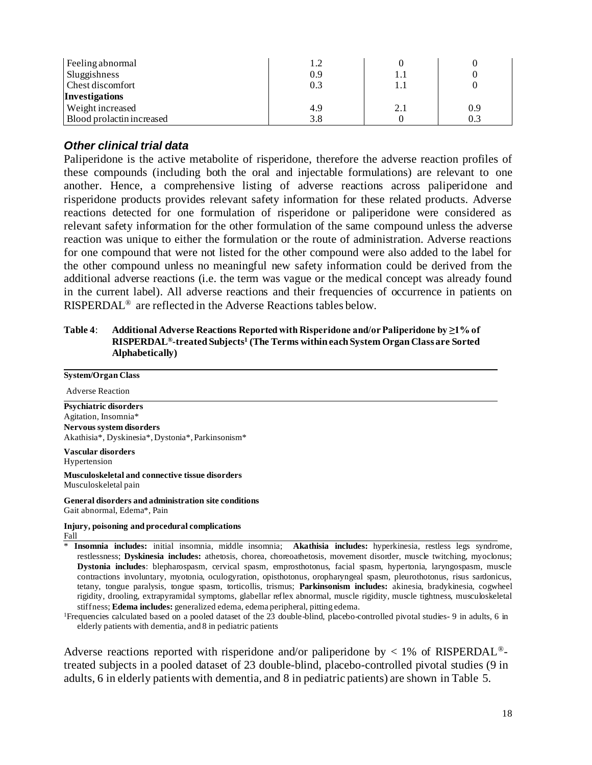| Feeling abnormal          | 1.2 |     |     |
|---------------------------|-----|-----|-----|
| Sluggishness              | 0.9 |     |     |
| <b>Chest discomfort</b>   | 0.3 | I.I |     |
| <b>Investigations</b>     |     |     |     |
| Weight increased          | 4.9 | 2.1 | 0.9 |
| Blood prolactin increased | 3.8 |     | 0.3 |

#### *Other clinical trial data*

Paliperidone is the active metabolite of risperidone, therefore the adverse reaction profiles of these compounds (including both the oral and injectable formulations) are relevant to one another. Hence, a comprehensive listing of adverse reactions across paliperidone and risperidone products provides relevant safety information for these related products. Adverse reactions detected for one formulation of risperidone or paliperidone were considered as relevant safety information for the other formulation of the same compound unless the adverse reaction was unique to either the formulation or the route of administration. Adverse reactions for one compound that were not listed for the other compound were also added to the label for the other compound unless no meaningful new safety information could be derived from the additional adverse reactions (i.e. the term was vague or the medical concept was already found in the current label). All adverse reactions and their frequencies of occurrence in patients on RISPERDAL® are reflected in the Adverse Reactions tables below.

#### **Table 4**: **Additional Adverse Reactions Reported with Risperidone and/or Paliperidone by ≥1% of RISPERDAL®-treated Subjects<sup>1</sup> (The Terms within each System Organ Class are Sorted Alphabetically)**

| <b>System/Organ Class</b>                                                                                                     |
|-------------------------------------------------------------------------------------------------------------------------------|
| <b>Adverse Reaction</b>                                                                                                       |
| <b>Psychiatric disorders</b>                                                                                                  |
| Agitation, Insomnia*                                                                                                          |
| Nervous system disorders<br>Akathisia*, Dyskinesia*, Dystonia*, Parkinsonism*                                                 |
| Vascular disorders<br>Hypertension                                                                                            |
| Musculoskeletal and connective tissue disorders<br>Musculoskeletal pain                                                       |
| General disorders and administration site conditions<br>Gait abnormal, Edema*, Pain                                           |
| Injury, poisoning and procedural complications<br>Fall                                                                        |
| Insomnia includes: initial insomnia, middle insomnia; Akathisia includes: hyperkinesia, restless legs syndrome,<br>∗          |
| restlessness; Dyskinesia includes: athetosis, chorea, choreoathetosis, movement disorder, muscle twitching, myoclonus;        |
| Dystonia includes: blepharospasm, cervical spasm, emprosthotonus, facial spasm, hypertonia, laryngospasm, muscle              |
| contractions involuntary, myotonia, oculogyration, opisthotonus, oropharyngeal spasm, pleurothotonus, risus sardonicus,       |
| tetany, tongue paralysis, tongue spasm, torticollis, trismus: <b>Parkinsonism includes</b> : akinesia, bradykinesia, cogwheel |

stiffness; **Edema includes:** generalized edema, edema peripheral, pitting edema. <sup>1</sup>Frequencies calculated based on a pooled dataset of the 23 double-blind, placebo-controlled pivotal studies- 9 in adults, 6 in elderly patients with dementia, and 8 in pediatric patients

rigidity, drooling, extrapyramidal symptoms, glabellar reflex abnormal, muscle rigidity, muscle tightness, musculoskeletal

Adverse reactions reported with risperidone and/or paliperidone by  $\langle 1\% \rangle$  of RISPERDAL<sup>®</sup>treated subjects in a pooled dataset of 23 double-blind, placebo-controlled pivotal studies (9 in adults, 6 in elderly patients with dementia, and 8 in pediatric patients) are shown in Table 5.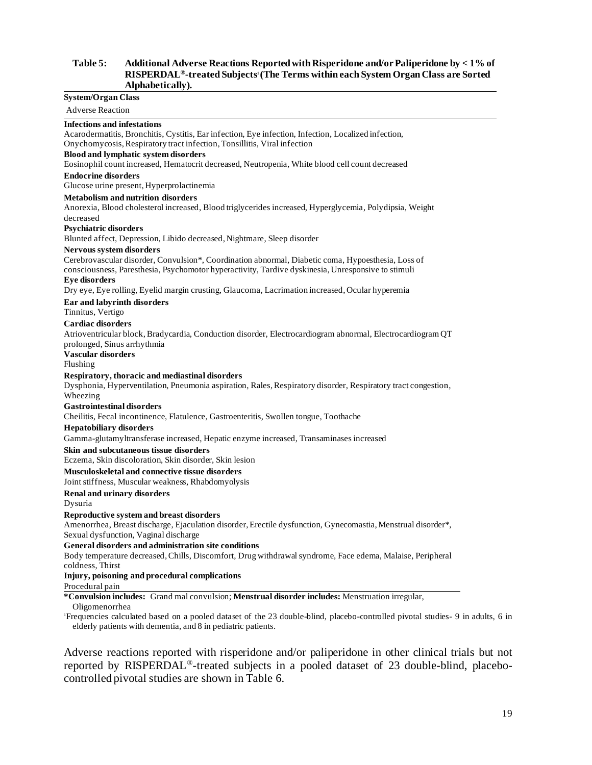#### **Table 5: Additional Adverse Reactions Reported with Risperidone and/or Paliperidone by < 1% of RISPERDAL®-treated Subjects<sup>1</sup> (The Terms within each System Organ Class are Sorted Alphabetically).**

#### **System/Organ Class**

Adverse Reaction

**Infections and infestations** Acarodermatitis, Bronchitis, Cystitis, Ear infection, Eye infection, Infection, Localized infection, Onychomycosis, Respiratory tract infection, Tonsillitis, Viral infection **Blood and lymphatic system disorders** Eosinophil count increased, Hematocrit decreased, Neutropenia, White blood cell count decreased **Endocrine disorders** Glucose urine present, Hyperprolactinemia **Metabolism and nutrition disorders** Anorexia, Blood cholesterol increased, Blood triglycerides increased, Hyperglycemia, Polydipsia, Weight decreased **Psychiatric disorders** Blunted affect, Depression, Libido decreased, Nightmare, Sleep disorder **Nervous system disorders** Cerebrovascular disorder, Convulsion\*, Coordination abnormal, Diabetic coma, Hypoesthesia, Loss of consciousness, Paresthesia, Psychomotor hyperactivity, Tardive dyskinesia, Unresponsive to stimuli **Eye disorders** Dry eye, Eye rolling, Eyelid margin crusting, Glaucoma, Lacrimation increased, Ocular hyperemia **Ear and labyrinth disorders** Tinnitus, Vertigo **Cardiac disorders** Atrioventricular block, Bradycardia, Conduction disorder, Electrocardiogram abnormal, Electrocardiogram QT prolonged, Sinus arrhythmia **Vascular disorders** Flushing **Respiratory, thoracic and mediastinal disorders** Dysphonia, Hyperventilation, Pneumonia aspiration, Rales, Respiratory disorder, Respiratory tract congestion, Wheezing **Gastrointestinal disorders** Cheilitis, Fecal incontinence, Flatulence, Gastroenteritis, Swollen tongue, Toothache **Hepatobiliary disorders** Gamma-glutamyltransferase increased, Hepatic enzyme increased, Transaminases increased

#### **Skin and subcutaneous tissue disorders**

Eczema, Skin discoloration, Skin disorder, Skin lesion

#### **Musculoskeletal and connective tissue disorders**

Joint stiffness, Muscular weakness, Rhabdomyolysis

#### **Renal and urinary disorders**

Dysuria

#### **Reproductive system and breast disorders**

Amenorrhea, Breast discharge, Ejaculation disorder, Erectile dysfunction, Gynecomastia, Menstrual disorder\*, Sexual dysfunction, Vaginal discharge

#### **General disorders and administration site conditions**

Body temperature decreased, Chills, Discomfort, Drug withdrawal syndrome, Face edema, Malaise, Peripheral coldness, Thirst

#### **Injury, poisoning and procedural complications**

Procedural pain

**\*Convulsion includes:** Grand mal convulsion; **Menstrual disorder includes:** Menstruation irregular, Oligomenorrhea

<sup>1</sup>Frequencies calculated based on a pooled dataset of the 23 double-blind, placebo-controlled pivotal studies- 9 in adults, 6 in elderly patients with dementia, and 8 in pediatric patients.

Adverse reactions reported with risperidone and/or paliperidone in other clinical trials but not reported by RISPERDAL®-treated subjects in a pooled dataset of 23 double-blind, placebocontrolled pivotal studies are shown in Table 6.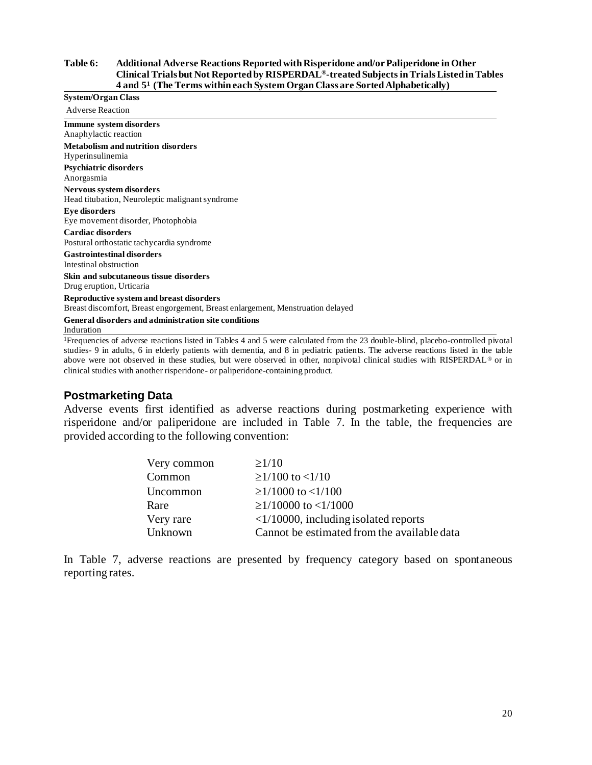#### **Table 6: Additional Adverse Reactions Reported with Risperidone and/or Paliperidone in Other Clinical Trials but Not Reported by RISPERDAL®-treated Subjects in Trials Listed in Tables 4 and 5 <sup>1</sup>(The Terms within each System Organ Class are Sorted Alphabetically)**

| System/Organ Class                                                                                                                 |
|------------------------------------------------------------------------------------------------------------------------------------|
| <b>Adverse Reaction</b>                                                                                                            |
| Immune system disorders<br>Anaphylactic reaction                                                                                   |
| Metabolism and nutrition disorders<br>Hyperinsulinemia                                                                             |
| Psychiatric disorders<br>Anorgasmia                                                                                                |
| Nervous system disorders<br>Head titubation, Neuroleptic malignant syndrome                                                        |
| Eye disorders<br>Eye movement disorder, Photophobia                                                                                |
| Cardiac disorders<br>Postural orthostatic tachycardia syndrome                                                                     |
| <b>Gastrointestinal disorders</b><br>Intestinal obstruction                                                                        |
| Skin and subcutaneous tissue disorders<br>Drug eruption, Urticaria                                                                 |
| <b>Reproductive system and breast disorders</b><br>Breast discomfort, Breast engorgement, Breast enlargement, Menstruation delayed |
| <b>General disorders and administration site conditions</b><br>Induration                                                          |
| $\Gamma$ compariso of odvarce mastices listed in Tobles 4 and 5 years solvulated from the 22 double blind, pleashed controlled p   |

<sup>1</sup>Frequencies of adverse reactions listed in Tables 4 and 5 were calculated from the 23 double-blind, placebo-controlled pivotal studies- 9 in adults, 6 in elderly patients with dementia, and 8 in pediatric patients. The adverse reactions listed in the table above were not observed in these studies, but were observed in other, nonpivotal clinical studies with RISPERDAL® or in clinical studies with another risperidone- or paliperidone-containing product.

#### **Postmarketing Data**

Adverse events first identified as adverse reactions during postmarketing experience with risperidone and/or paliperidone are included in Table 7. In the table, the frequencies are provided according to the following convention:

| Very common | $\geq$ 1/10                                    |
|-------------|------------------------------------------------|
| Common      | $\geq$ 1/100 to <1/10                          |
| Uncommon    | $\geq$ 1/1000 to <1/100                        |
| Rare        | $\geq$ 1/10000 to <1/1000                      |
| Very rare   | $\langle 1/10000$ , including isolated reports |
| Unknown     | Cannot be estimated from the available data    |

In Table 7, adverse reactions are presented by frequency category based on spontaneous reporting rates.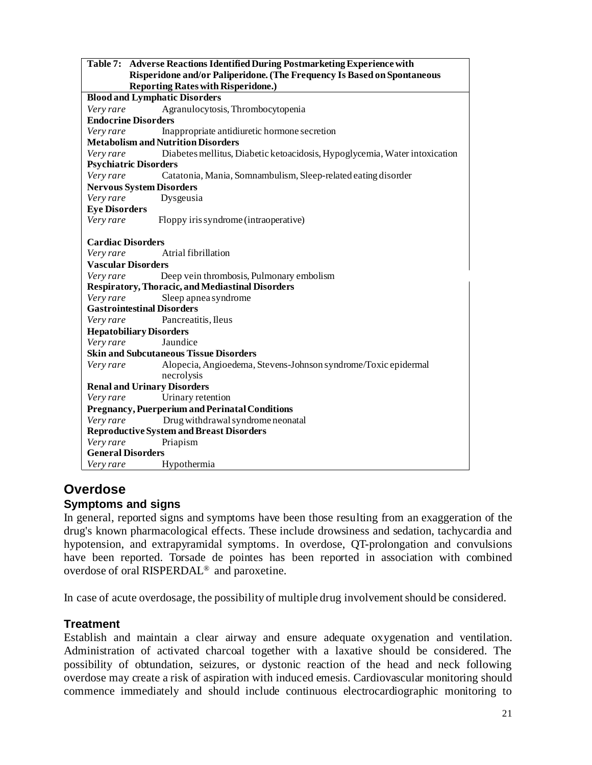|                                    | Table 7: Adverse Reactions Identified During Postmarketing Experience with<br>Risperidone and/or Paliperidone. (The Frequency Is Based on Spontaneous |
|------------------------------------|-------------------------------------------------------------------------------------------------------------------------------------------------------|
|                                    | <b>Reporting Rates with Risperidone.)</b>                                                                                                             |
|                                    | <b>Blood and Lymphatic Disorders</b>                                                                                                                  |
| Very rare                          | Agranulocytosis, Thrombocytopenia                                                                                                                     |
| <b>Endocrine Disorders</b>         |                                                                                                                                                       |
| Very rare                          | Inappropriate antidiuretic hormone secretion                                                                                                          |
|                                    | <b>Metabolism and Nutrition Disorders</b>                                                                                                             |
| Very rare                          | Diabetes mellitus, Diabetic ketoacidosis, Hypoglycemia, Water intoxication                                                                            |
| <b>Psychiatric Disorders</b>       |                                                                                                                                                       |
| Very rare                          | Catatonia, Mania, Somnambulism, Sleep-related eating disorder                                                                                         |
| <b>Nervous System Disorders</b>    |                                                                                                                                                       |
| Very rare                          | Dysgeusia                                                                                                                                             |
| <b>Eye Disorders</b>               |                                                                                                                                                       |
| Very rare                          | Floppy iris syndrome (intraoperative)                                                                                                                 |
| <b>Cardiac Disorders</b>           |                                                                                                                                                       |
| Very rare                          | Atrial fibrillation                                                                                                                                   |
| <b>Vascular Disorders</b>          |                                                                                                                                                       |
| Very rare                          | Deep vein thrombosis, Pulmonary embolism                                                                                                              |
|                                    | <b>Respiratory, Thoracic, and Mediastinal Disorders</b>                                                                                               |
| Very rare                          | Sleep apnea syndrome                                                                                                                                  |
| <b>Gastrointestinal Disorders</b>  |                                                                                                                                                       |
| Very rare                          | Pancreatitis, Ileus                                                                                                                                   |
| <b>Hepatobiliary Disorders</b>     |                                                                                                                                                       |
| Very rare                          | Jaundice                                                                                                                                              |
|                                    | <b>Skin and Subcutaneous Tissue Disorders</b>                                                                                                         |
| Very rare                          | Alopecia, Angioedema, Stevens-Johnson syndrome/Toxic epidermal                                                                                        |
|                                    | necrolysis                                                                                                                                            |
| <b>Renal and Urinary Disorders</b> |                                                                                                                                                       |
| Very rare                          | Urinary retention                                                                                                                                     |
|                                    | <b>Pregnancy, Puerperium and Perinatal Conditions</b>                                                                                                 |
| Very rare                          | Drug withdrawal syndrome neonatal                                                                                                                     |
|                                    | <b>Reproductive System and Breast Disorders</b>                                                                                                       |
| Very rare                          | Priapism                                                                                                                                              |
| <b>General Disorders</b>           |                                                                                                                                                       |
| Very rare                          | Hypothermia                                                                                                                                           |

# **Overdose Symptoms and signs**

In general, reported signs and symptoms have been those resulting from an exaggeration of the drug's known pharmacological effects. These include drowsiness and sedation, tachycardia and hypotension, and extrapyramidal symptoms. In overdose, QT-prolongation and convulsions have been reported. Torsade de pointes has been reported in association with combined overdose of oral RISPERDAL® and paroxetine.

In case of acute overdosage, the possibility of multiple drug involvement should be considered.

# **Treatment**

Establish and maintain a clear airway and ensure adequate oxygenation and ventilation. Administration of activated charcoal together with a laxative should be considered. The possibility of obtundation, seizures, or dystonic reaction of the head and neck following overdose may create a risk of aspiration with induced emesis. Cardiovascular monitoring should commence immediately and should include continuous electrocardiographic monitoring to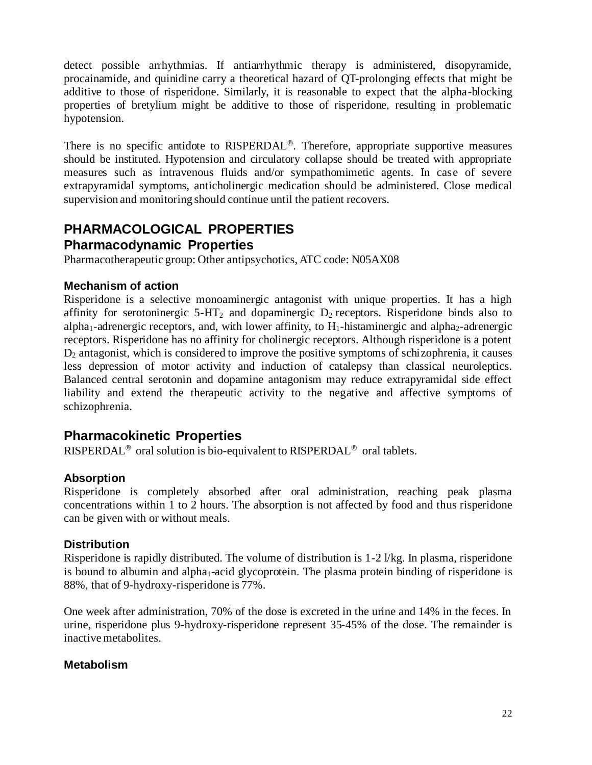detect possible arrhythmias. If antiarrhythmic therapy is administered, disopyramide, procainamide, and quinidine carry a theoretical hazard of QT-prolonging effects that might be additive to those of risperidone. Similarly, it is reasonable to expect that the alpha-blocking properties of bretylium might be additive to those of risperidone, resulting in problematic hypotension.

There is no specific antidote to  $RISPERDAL<sup>®</sup>$ . Therefore, appropriate supportive measures should be instituted. Hypotension and circulatory collapse should be treated with appropriate measures such as intravenous fluids and/or sympathomimetic agents. In case of severe extrapyramidal symptoms, anticholinergic medication should be administered. Close medical supervision and monitoring should continue until the patient recovers.

# **PHARMACOLOGICAL PROPERTIES Pharmacodynamic Properties**

Pharmacotherapeutic group: Other antipsychotics, ATC code: N05AX08

# **Mechanism of action**

Risperidone is a selective monoaminergic antagonist with unique properties. It has a high affinity for serotoninergic  $5-HT_2$  and dopaminergic  $D_2$  receptors. Risperidone binds also to alpha<sub>1</sub>-adrenergic receptors, and, with lower affinity, to  $H_1$ -histaminergic and alpha<sub>2</sub>-adrenergic receptors. Risperidone has no affinity for cholinergic receptors. Although risperidone is a potent  $D_2$  antagonist, which is considered to improve the positive symptoms of schizophrenia, it causes less depression of motor activity and induction of catalepsy than classical neuroleptics. Balanced central serotonin and dopamine antagonism may reduce extrapyramidal side effect liability and extend the therapeutic activity to the negative and affective symptoms of schizophrenia.

# **Pharmacokinetic Properties**

RISPERDAL<sup>®</sup> oral solution is bio-equivalent to RISPERDAL<sup>®</sup> oral tablets.

### **Absorption**

Risperidone is completely absorbed after oral administration, reaching peak plasma concentrations within 1 to 2 hours. The absorption is not affected by food and thus risperidone can be given with or without meals.

### **Distribution**

Risperidone is rapidly distributed. The volume of distribution is 1-2 l/kg. In plasma, risperidone is bound to albumin and alpha<sub>1</sub>-acid glycoprotein. The plasma protein binding of risperidone is 88%, that of 9-hydroxy-risperidone is 77%.

One week after administration, 70% of the dose is excreted in the urine and 14% in the feces. In urine, risperidone plus 9-hydroxy-risperidone represent 35-45% of the dose. The remainder is inactive metabolites.

### **Metabolism**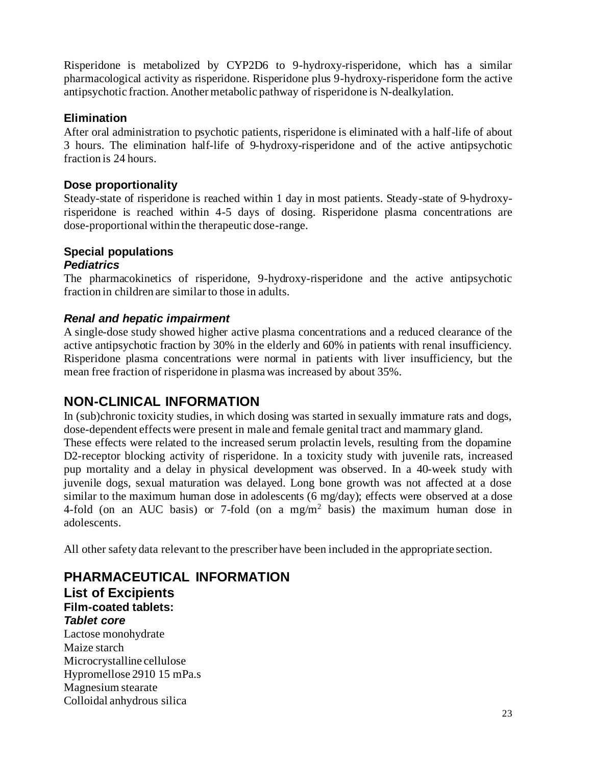Risperidone is metabolized by CYP2D6 to 9-hydroxy-risperidone, which has a similar pharmacological activity as risperidone. Risperidone plus 9-hydroxy-risperidone form the active antipsychotic fraction. Another metabolic pathway of risperidone is N-dealkylation.

# **Elimination**

After oral administration to psychotic patients, risperidone is eliminated with a half-life of about 3 hours. The elimination half-life of 9-hydroxy-risperidone and of the active antipsychotic fraction is 24 hours.

# **Dose proportionality**

Steady-state of risperidone is reached within 1 day in most patients. Steady-state of 9-hydroxyrisperidone is reached within 4-5 days of dosing. Risperidone plasma concentrations are dose-proportional within the therapeutic dose-range.

#### **Special populations** *Pediatrics*

The pharmacokinetics of risperidone, 9-hydroxy-risperidone and the active antipsychotic fraction in children are similar to those in adults.

# *Renal and hepatic impairment*

A single-dose study showed higher active plasma concentrations and a reduced clearance of the active antipsychotic fraction by 30% in the elderly and 60% in patients with renal insufficiency. Risperidone plasma concentrations were normal in patients with liver insufficiency, but the mean free fraction of risperidone in plasma was increased by about 35%.

# **NON-CLINICAL INFORMATION**

In (sub)chronic toxicity studies, in which dosing was started in sexually immature rats and dogs, dose-dependent effects were present in male and female genital tract and mammary gland. These effects were related to the increased serum prolactin levels, resulting from the dopamine D2-receptor blocking activity of risperidone. In a toxicity study with juvenile rats, increased pup mortality and a delay in physical development was observed. In a 40-week study with juvenile dogs, sexual maturation was delayed. Long bone growth was not affected at a dose similar to the maximum human dose in adolescents (6 mg/day); effects were observed at a dose 4-fold (on an AUC basis) or 7-fold (on a mg/m<sup>2</sup> basis) the maximum human dose in adolescents.

All other safety data relevant to the prescriber have been included in the appropriate section.

**PHARMACEUTICAL INFORMATION List of Excipients Film-coated tablets:** *Tablet core* Lactose monohydrate Maize starch

Microcrystalline cellulose Hypromellose 2910 15 mPa.s Magnesium stearate Colloidal anhydrous silica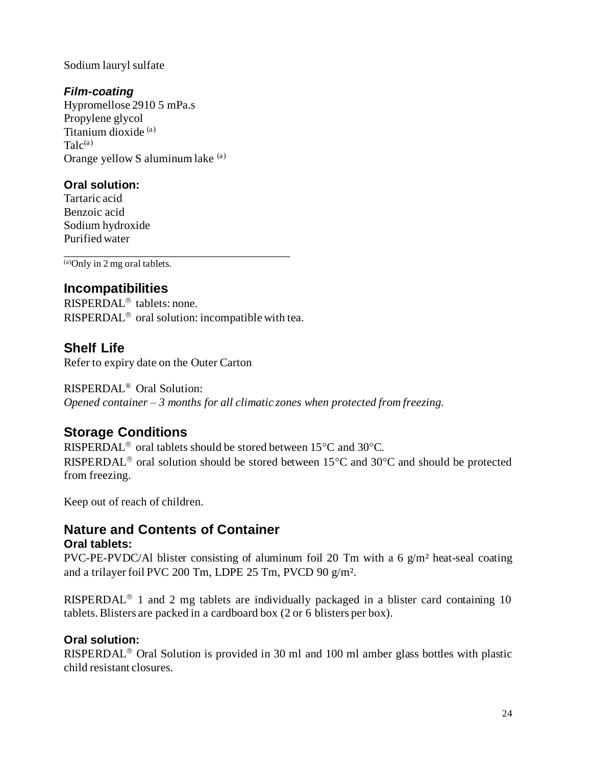#### Sodium lauryl sulfate

# *Film-coating*

Hypromellose 2910 5 mPa.s Propylene glycol Titanium dioxide (a)  $Talc<sup>(a)</sup>$ Orange yellow S aluminum lake (a)

# **Oral solution:**

Tartaric acid Benzoic acid Sodium hydroxide Purified water

\_\_\_\_\_\_\_\_\_\_\_\_\_\_\_\_\_\_\_\_\_\_\_\_\_\_\_\_\_\_\_\_\_\_\_\_\_\_\_  $\overline{(a)$ Only in 2 mg oral tablets.

# **Incompatibilities**

 $RISPERDAL<sup>®</sup>$  tablets: none. RISPERDAL<sup>®</sup> oral solution: incompatible with tea.

# **Shelf Life**

Refer to expiry date on the Outer Carton

RISPERDAL® Oral Solution: *Opened container – 3 months for all climatic zones when protected from freezing.*

# **Storage Conditions**

RISPERDAL<sup>®</sup> oral tablets should be stored between 15 $\degree$ C and 30 $\degree$ C. RISPERDAL<sup>®</sup> oral solution should be stored between  $15^{\circ}$ C and  $30^{\circ}$ C and should be protected from freezing.

Keep out of reach of children.

# **Nature and Contents of Container**

# **Oral tablets:**

PVC-PE-PVDC/Al blister consisting of aluminum foil 20 Tm with a 6  $g/m^2$  heat-seal coating and a trilayer foil PVC 200 Tm, LDPE 25 Tm, PVCD 90 g/m<sup>2</sup>.

RISPERDAL<sup>®</sup> 1 and 2 mg tablets are individually packaged in a blister card containing 10 tablets. Blisters are packed in a cardboard box (2 or 6 blisters per box).

# **Oral solution:**

RISPERDAL<sup>®</sup> Oral Solution is provided in 30 ml and 100 ml amber glass bottles with plastic child resistant closures.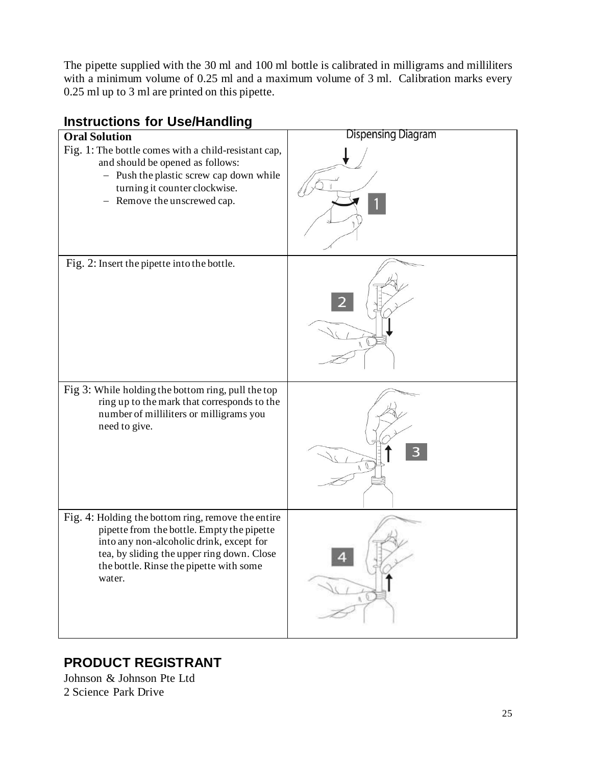The pipette supplied with the 30 ml and 100 ml bottle is calibrated in milligrams and milliliters with a minimum volume of 0.25 ml and a maximum volume of 3 ml. Calibration marks every 0.25 ml up to 3 ml are printed on this pipette.

# **Instructions for Use/Handling** Dispensing Diagram **Oral Solution**  Fig. 1: The bottle comes with a child-resistant cap, and should be opened as follows: − Push the plastic screw cap down while turning it counter clockwise. − Remove the unscrewed cap. Fig. 2: Insert the pipette into the bottle. Fig 3: While holding the bottom ring, pull the top ring up to the mark that corresponds to the number of milliliters or milligrams you need to give. Fig. 4: Holding the bottom ring, remove the entire pipette from the bottle. Empty the pipette into any non-alcoholic drink, except for

tea, by sliding the upper ring down. Close the bottle. Rinse the pipette with some

# **PRODUCT REGISTRANT**

Johnson & Johnson Pte Ltd 2 Science Park Drive

water.